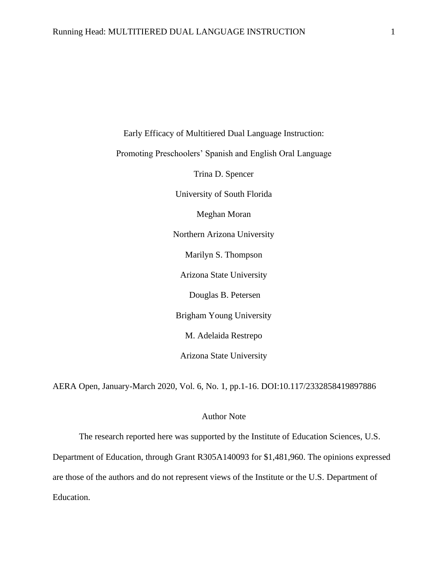Early Efficacy of Multitiered Dual Language Instruction: Promoting Preschoolers' Spanish and English Oral Language Trina D. Spencer University of South Florida Meghan Moran Northern Arizona University Marilyn S. Thompson Arizona State University Douglas B. Petersen Brigham Young University M. Adelaida Restrepo Arizona State University

AERA Open, January-March 2020, Vol. 6, No. 1, pp.1-16. DOI:10.117/2332858419897886

# Author Note

The research reported here was supported by the Institute of Education Sciences, U.S.

Department of Education, through Grant R305A140093 for \$1,481,960. The opinions expressed

are those of the authors and do not represent views of the Institute or the U.S. Department of

Education.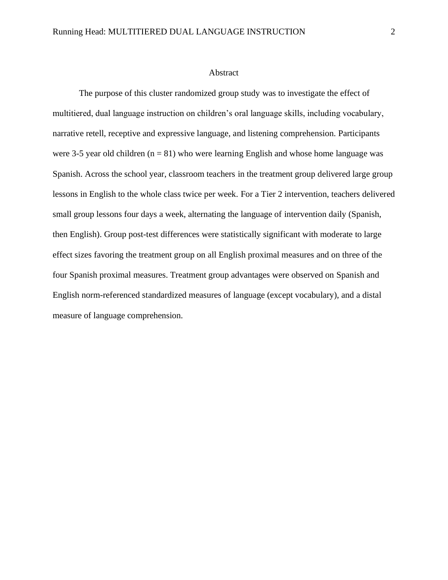### Abstract

The purpose of this cluster randomized group study was to investigate the effect of multitiered, dual language instruction on children's oral language skills, including vocabulary, narrative retell, receptive and expressive language, and listening comprehension. Participants were 3-5 year old children  $(n = 81)$  who were learning English and whose home language was Spanish. Across the school year, classroom teachers in the treatment group delivered large group lessons in English to the whole class twice per week. For a Tier 2 intervention, teachers delivered small group lessons four days a week, alternating the language of intervention daily (Spanish, then English). Group post-test differences were statistically significant with moderate to large effect sizes favoring the treatment group on all English proximal measures and on three of the four Spanish proximal measures. Treatment group advantages were observed on Spanish and English norm-referenced standardized measures of language (except vocabulary), and a distal measure of language comprehension.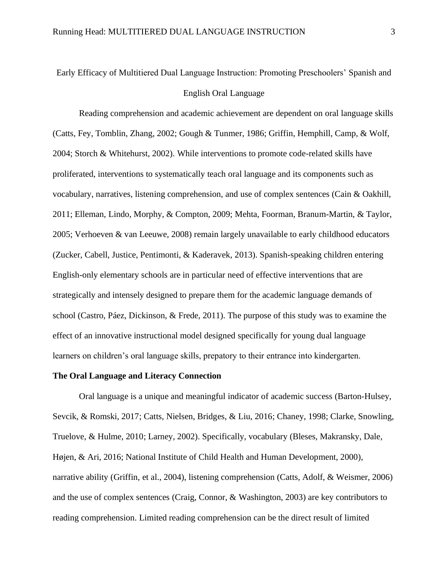# Early Efficacy of Multitiered Dual Language Instruction: Promoting Preschoolers' Spanish and English Oral Language

Reading comprehension and academic achievement are dependent on oral language skills (Catts, Fey, Tomblin, Zhang, 2002; Gough & Tunmer, 1986; Griffin, Hemphill, Camp, & Wolf, 2004; Storch & Whitehurst, 2002). While interventions to promote code-related skills have proliferated, interventions to systematically teach oral language and its components such as vocabulary, narratives, listening comprehension, and use of complex sentences (Cain & Oakhill, 2011; Elleman, Lindo, Morphy, & Compton, 2009; Mehta, Foorman, Branum-Martin, & Taylor, 2005; Verhoeven & van Leeuwe, 2008) remain largely unavailable to early childhood educators (Zucker, Cabell, Justice, Pentimonti, & Kaderavek, 2013). Spanish-speaking children entering English-only elementary schools are in particular need of effective interventions that are strategically and intensely designed to prepare them for the academic language demands of school (Castro, Páez, Dickinson, & Frede, 2011). The purpose of this study was to examine the effect of an innovative instructional model designed specifically for young dual language learners on children's oral language skills, prepatory to their entrance into kindergarten.

# **The Oral Language and Literacy Connection**

Oral language is a unique and meaningful indicator of academic success (Barton-Hulsey, Sevcik, & Romski, 2017; Catts, Nielsen, Bridges, & Liu, 2016; Chaney, 1998; Clarke, Snowling, Truelove, & Hulme, 2010; Larney, 2002). Specifically, vocabulary (Bleses, Makransky, Dale, Højen, & Ari, 2016; National Institute of Child Health and Human Development, 2000), narrative ability (Griffin, et al., 2004), listening comprehension (Catts, Adolf, & Weismer, 2006) and the use of complex sentences (Craig, Connor, & Washington, 2003) are key contributors to reading comprehension. Limited reading comprehension can be the direct result of limited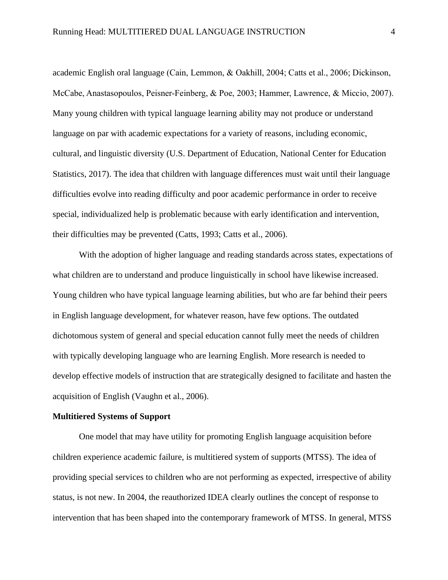academic English oral language (Cain, Lemmon, & Oakhill, 2004; Catts et al., 2006; Dickinson, McCabe, Anastasopoulos, Peisner-Feinberg, & Poe, 2003; Hammer, Lawrence, & Miccio, 2007). Many young children with typical language learning ability may not produce or understand language on par with academic expectations for a variety of reasons, including economic, cultural, and linguistic diversity (U.S. Department of Education, National Center for Education Statistics, 2017). The idea that children with language differences must wait until their language difficulties evolve into reading difficulty and poor academic performance in order to receive special, individualized help is problematic because with early identification and intervention, their difficulties may be prevented (Catts, 1993; Catts et al., 2006).

With the adoption of higher language and reading standards across states, expectations of what children are to understand and produce linguistically in school have likewise increased. Young children who have typical language learning abilities, but who are far behind their peers in English language development, for whatever reason, have few options. The outdated dichotomous system of general and special education cannot fully meet the needs of children with typically developing language who are learning English. More research is needed to develop effective models of instruction that are strategically designed to facilitate and hasten the acquisition of English (Vaughn et al., 2006).

# **Multitiered Systems of Support**

One model that may have utility for promoting English language acquisition before children experience academic failure, is multitiered system of supports (MTSS). The idea of providing special services to children who are not performing as expected, irrespective of ability status, is not new. In 2004, the reauthorized IDEA clearly outlines the concept of response to intervention that has been shaped into the contemporary framework of MTSS. In general, MTSS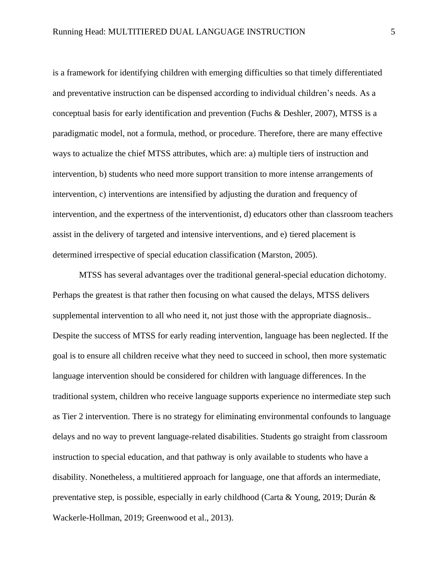is a framework for identifying children with emerging difficulties so that timely differentiated and preventative instruction can be dispensed according to individual children's needs. As a conceptual basis for early identification and prevention (Fuchs & Deshler, 2007), MTSS is a paradigmatic model, not a formula, method, or procedure. Therefore, there are many effective ways to actualize the chief MTSS attributes, which are: a) multiple tiers of instruction and intervention, b) students who need more support transition to more intense arrangements of intervention, c) interventions are intensified by adjusting the duration and frequency of intervention, and the expertness of the interventionist, d) educators other than classroom teachers assist in the delivery of targeted and intensive interventions, and e) tiered placement is determined irrespective of special education classification (Marston, 2005).

MTSS has several advantages over the traditional general-special education dichotomy. Perhaps the greatest is that rather then focusing on what caused the delays, MTSS delivers supplemental intervention to all who need it, not just those with the appropriate diagnosis.. Despite the success of MTSS for early reading intervention, language has been neglected. If the goal is to ensure all children receive what they need to succeed in school, then more systematic language intervention should be considered for children with language differences. In the traditional system, children who receive language supports experience no intermediate step such as Tier 2 intervention. There is no strategy for eliminating environmental confounds to language delays and no way to prevent language-related disabilities. Students go straight from classroom instruction to special education, and that pathway is only available to students who have a disability. Nonetheless, a multitiered approach for language, one that affords an intermediate, preventative step, is possible, especially in early childhood (Carta & Young, 2019; Durán & Wackerle-Hollman, 2019; Greenwood et al., 2013).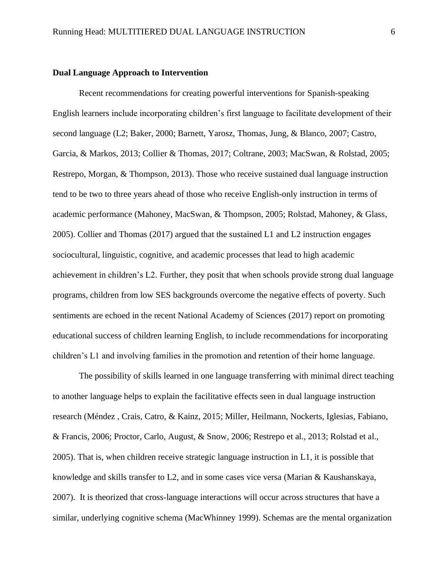# **Dual Language Approach to Intervention**

Recent recommendations for creating powerful interventions for Spanish-speaking English learners include incorporating children's first language to facilitate development of their second language (L2; Baker, 2000; Barnett, Yarosz, Thomas, Jung, & Blanco, 2007; Castro, Garcia, & Markos, 2013; Collier & Thomas, 2017; Coltrane, 2003; MacSwan, & Rolstad, 2005; Restrepo, Morgan, & Thompson, 2013). Those who receive sustained dual language instruction tend to be two to three years ahead of those who receive English-only instruction in terms of academic performance (Mahoney, MacSwan, & Thompson, 2005; Rolstad, Mahoney, & Glass, 2005). Collier and Thomas (2017) argued that the sustained L1 and L2 instruction engages sociocultural, linguistic, cognitive, and academic processes that lead to high academic achievement in children's L2. Further, they posit that when schools provide strong dual language programs, children from low SES backgrounds overcome the negative effects of poverty. Such sentiments are echoed in the recent National Academy of Sciences (2017) report on promoting educational success of children learning English, to include recommendations for incorporating children's L1 and involving families in the promotion and retention of their home language.

The possibility of skills learned in one language transferring with minimal direct teaching to another language helps to explain the facilitative effects seen in dual language instruction research (Méndez , Crais, Catro, & Kainz, 2015; Miller, Heilmann, Nockerts, Iglesias, Fabiano, & Francis, 2006; Proctor, Carlo, August, & Snow, 2006; Restrepo et al., 2013; Rolstad et al., 2005). That is, when children receive strategic language instruction in L1, it is possible that knowledge and skills transfer to L2, and in some cases vice versa (Marian & Kaushanskaya, 2007). It is theorized that cross-language interactions will occur across structures that have a similar, underlying cognitive schema (MacWhinney 1999). Schemas are the mental organization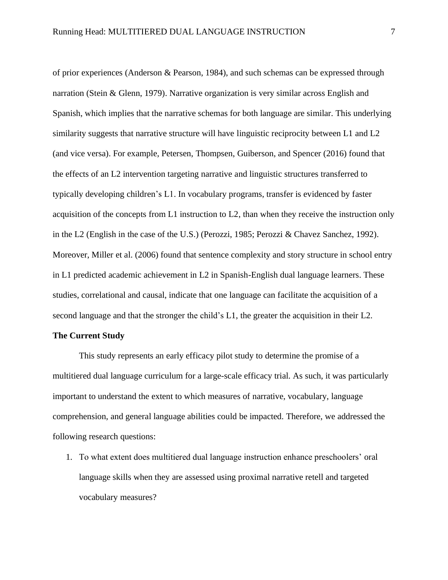of prior experiences (Anderson & Pearson, 1984), and such schemas can be expressed through narration (Stein & Glenn, 1979). Narrative organization is very similar across English and Spanish, which implies that the narrative schemas for both language are similar. This underlying similarity suggests that narrative structure will have linguistic reciprocity between L1 and L2 (and vice versa). For example, Petersen, Thompsen, Guiberson, and Spencer (2016) found that the effects of an L2 intervention targeting narrative and linguistic structures transferred to typically developing children's L1. In vocabulary programs, transfer is evidenced by faster acquisition of the concepts from L1 instruction to L2, than when they receive the instruction only in the L2 (English in the case of the U.S.) (Perozzi, 1985; Perozzi & Chavez Sanchez, 1992). Moreover, Miller et al. (2006) found that sentence complexity and story structure in school entry in L1 predicted academic achievement in L2 in Spanish-English dual language learners. These studies, correlational and causal, indicate that one language can facilitate the acquisition of a second language and that the stronger the child's L1, the greater the acquisition in their L2.

# **The Current Study**

This study represents an early efficacy pilot study to determine the promise of a multitiered dual language curriculum for a large-scale efficacy trial. As such, it was particularly important to understand the extent to which measures of narrative, vocabulary, language comprehension, and general language abilities could be impacted. Therefore, we addressed the following research questions:

1. To what extent does multitiered dual language instruction enhance preschoolers' oral language skills when they are assessed using proximal narrative retell and targeted vocabulary measures?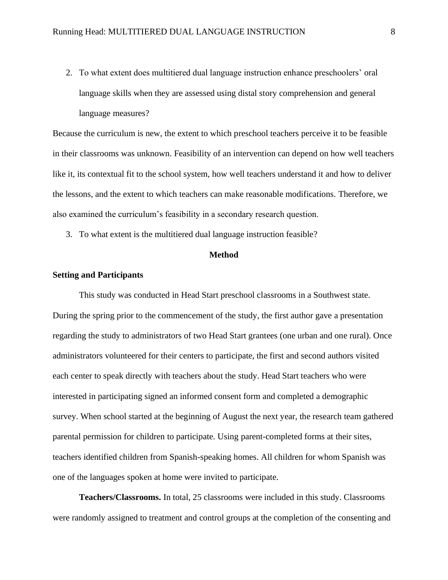2. To what extent does multitiered dual language instruction enhance preschoolers' oral language skills when they are assessed using distal story comprehension and general language measures?

Because the curriculum is new, the extent to which preschool teachers perceive it to be feasible in their classrooms was unknown. Feasibility of an intervention can depend on how well teachers like it, its contextual fit to the school system, how well teachers understand it and how to deliver the lessons, and the extent to which teachers can make reasonable modifications. Therefore, we also examined the curriculum's feasibility in a secondary research question.

3. To what extent is the multitiered dual language instruction feasible?

# **Method**

### **Setting and Participants**

This study was conducted in Head Start preschool classrooms in a Southwest state. During the spring prior to the commencement of the study, the first author gave a presentation regarding the study to administrators of two Head Start grantees (one urban and one rural). Once administrators volunteered for their centers to participate, the first and second authors visited each center to speak directly with teachers about the study. Head Start teachers who were interested in participating signed an informed consent form and completed a demographic survey. When school started at the beginning of August the next year, the research team gathered parental permission for children to participate. Using parent-completed forms at their sites, teachers identified children from Spanish-speaking homes. All children for whom Spanish was one of the languages spoken at home were invited to participate.

**Teachers/Classrooms.** In total, 25 classrooms were included in this study. Classrooms were randomly assigned to treatment and control groups at the completion of the consenting and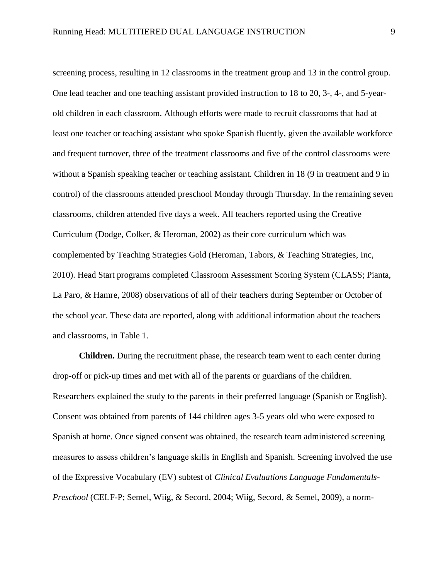screening process, resulting in 12 classrooms in the treatment group and 13 in the control group. One lead teacher and one teaching assistant provided instruction to 18 to 20, 3-, 4-, and 5-yearold children in each classroom. Although efforts were made to recruit classrooms that had at least one teacher or teaching assistant who spoke Spanish fluently, given the available workforce and frequent turnover, three of the treatment classrooms and five of the control classrooms were without a Spanish speaking teacher or teaching assistant. Children in 18 (9 in treatment and 9 in control) of the classrooms attended preschool Monday through Thursday. In the remaining seven classrooms, children attended five days a week. All teachers reported using the Creative Curriculum (Dodge, Colker, & Heroman, 2002) as their core curriculum which was complemented by Teaching Strategies Gold (Heroman, Tabors, & Teaching Strategies, Inc, 2010). Head Start programs completed Classroom Assessment Scoring System (CLASS; Pianta, La Paro, & Hamre, 2008) observations of all of their teachers during September or October of the school year. These data are reported, along with additional information about the teachers and classrooms, in Table 1.

**Children.** During the recruitment phase, the research team went to each center during drop-off or pick-up times and met with all of the parents or guardians of the children. Researchers explained the study to the parents in their preferred language (Spanish or English). Consent was obtained from parents of 144 children ages 3-5 years old who were exposed to Spanish at home. Once signed consent was obtained, the research team administered screening measures to assess children's language skills in English and Spanish. Screening involved the use of the Expressive Vocabulary (EV) subtest of *Clinical Evaluations Language Fundamentals-Preschool* (CELF-P; Semel, Wiig, & Secord, 2004; Wiig, Secord, & Semel, 2009), a norm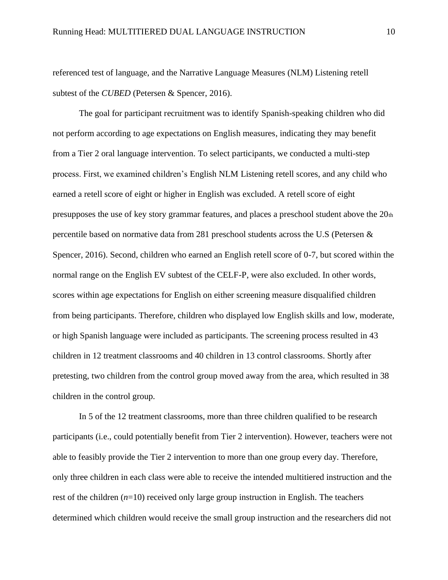referenced test of language, and the Narrative Language Measures (NLM) Listening retell subtest of the *CUBED* (Petersen & Spencer, 2016).

The goal for participant recruitment was to identify Spanish-speaking children who did not perform according to age expectations on English measures, indicating they may benefit from a Tier 2 oral language intervention. To select participants, we conducted a multi-step process. First, we examined children's English NLM Listening retell scores, and any child who earned a retell score of eight or higher in English was excluded. A retell score of eight presupposes the use of key story grammar features, and places a preschool student above the 20th percentile based on normative data from 281 preschool students across the U.S (Petersen & Spencer, 2016). Second, children who earned an English retell score of 0-7, but scored within the normal range on the English EV subtest of the CELF-P, were also excluded. In other words, scores within age expectations for English on either screening measure disqualified children from being participants. Therefore, children who displayed low English skills and low, moderate, or high Spanish language were included as participants. The screening process resulted in 43 children in 12 treatment classrooms and 40 children in 13 control classrooms. Shortly after pretesting, two children from the control group moved away from the area, which resulted in 38 children in the control group.

In 5 of the 12 treatment classrooms, more than three children qualified to be research participants (i.e., could potentially benefit from Tier 2 intervention). However, teachers were not able to feasibly provide the Tier 2 intervention to more than one group every day. Therefore, only three children in each class were able to receive the intended multitiered instruction and the rest of the children (*n*=10) received only large group instruction in English. The teachers determined which children would receive the small group instruction and the researchers did not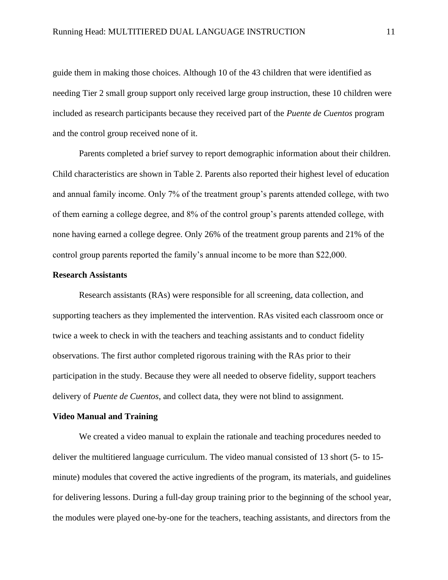guide them in making those choices. Although 10 of the 43 children that were identified as needing Tier 2 small group support only received large group instruction, these 10 children were included as research participants because they received part of the *Puente de Cuentos* program and the control group received none of it.

Parents completed a brief survey to report demographic information about their children. Child characteristics are shown in Table 2. Parents also reported their highest level of education and annual family income. Only 7% of the treatment group's parents attended college, with two of them earning a college degree, and 8% of the control group's parents attended college, with none having earned a college degree. Only 26% of the treatment group parents and 21% of the control group parents reported the family's annual income to be more than \$22,000.

### **Research Assistants**

Research assistants (RAs) were responsible for all screening, data collection, and supporting teachers as they implemented the intervention. RAs visited each classroom once or twice a week to check in with the teachers and teaching assistants and to conduct fidelity observations. The first author completed rigorous training with the RAs prior to their participation in the study. Because they were all needed to observe fidelity, support teachers delivery of *Puente de Cuentos*, and collect data, they were not blind to assignment.

# **Video Manual and Training**

We created a video manual to explain the rationale and teaching procedures needed to deliver the multitiered language curriculum. The video manual consisted of 13 short (5- to 15 minute) modules that covered the active ingredients of the program, its materials, and guidelines for delivering lessons. During a full-day group training prior to the beginning of the school year, the modules were played one-by-one for the teachers, teaching assistants, and directors from the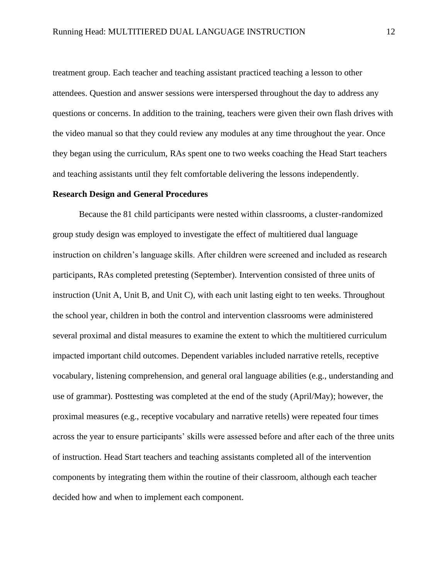treatment group. Each teacher and teaching assistant practiced teaching a lesson to other attendees. Question and answer sessions were interspersed throughout the day to address any questions or concerns. In addition to the training, teachers were given their own flash drives with the video manual so that they could review any modules at any time throughout the year. Once they began using the curriculum, RAs spent one to two weeks coaching the Head Start teachers and teaching assistants until they felt comfortable delivering the lessons independently.

# **Research Design and General Procedures**

Because the 81 child participants were nested within classrooms, a cluster-randomized group study design was employed to investigate the effect of multitiered dual language instruction on children's language skills. After children were screened and included as research participants, RAs completed pretesting (September). Intervention consisted of three units of instruction (Unit A, Unit B, and Unit C), with each unit lasting eight to ten weeks. Throughout the school year, children in both the control and intervention classrooms were administered several proximal and distal measures to examine the extent to which the multitiered curriculum impacted important child outcomes. Dependent variables included narrative retells, receptive vocabulary, listening comprehension, and general oral language abilities (e.g., understanding and use of grammar). Posttesting was completed at the end of the study (April/May); however, the proximal measures (e.g., receptive vocabulary and narrative retells) were repeated four times across the year to ensure participants' skills were assessed before and after each of the three units of instruction. Head Start teachers and teaching assistants completed all of the intervention components by integrating them within the routine of their classroom, although each teacher decided how and when to implement each component.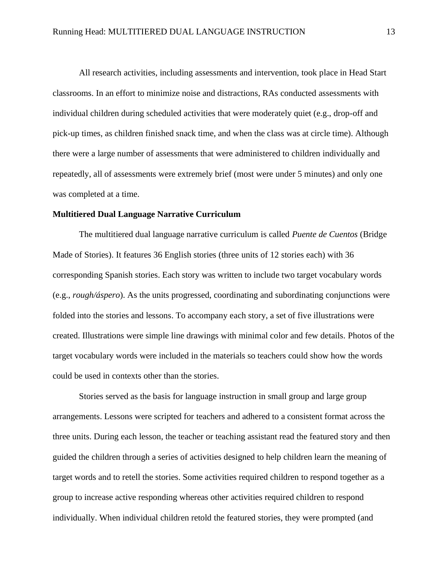All research activities, including assessments and intervention, took place in Head Start classrooms. In an effort to minimize noise and distractions, RAs conducted assessments with individual children during scheduled activities that were moderately quiet (e.g., drop-off and pick-up times, as children finished snack time, and when the class was at circle time). Although there were a large number of assessments that were administered to children individually and repeatedly, all of assessments were extremely brief (most were under 5 minutes) and only one was completed at a time.

### **Multitiered Dual Language Narrative Curriculum**

The multitiered dual language narrative curriculum is called *Puente de Cuentos* (Bridge Made of Stories). It features 36 English stories (three units of 12 stories each) with 36 corresponding Spanish stories. Each story was written to include two target vocabulary words (e.g., *rough/áspero*). As the units progressed, coordinating and subordinating conjunctions were folded into the stories and lessons. To accompany each story, a set of five illustrations were created. Illustrations were simple line drawings with minimal color and few details. Photos of the target vocabulary words were included in the materials so teachers could show how the words could be used in contexts other than the stories.

Stories served as the basis for language instruction in small group and large group arrangements. Lessons were scripted for teachers and adhered to a consistent format across the three units. During each lesson, the teacher or teaching assistant read the featured story and then guided the children through a series of activities designed to help children learn the meaning of target words and to retell the stories. Some activities required children to respond together as a group to increase active responding whereas other activities required children to respond individually. When individual children retold the featured stories, they were prompted (and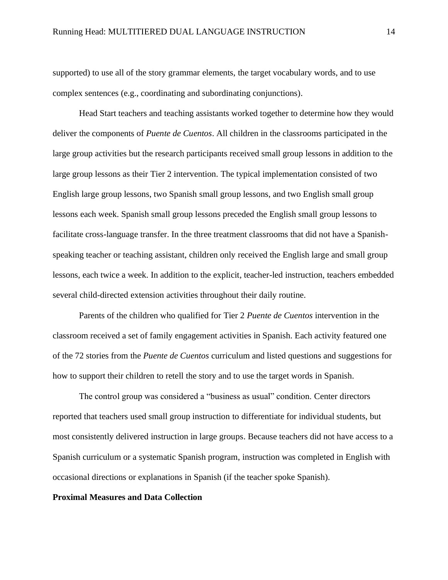supported) to use all of the story grammar elements, the target vocabulary words, and to use complex sentences (e.g., coordinating and subordinating conjunctions).

Head Start teachers and teaching assistants worked together to determine how they would deliver the components of *Puente de Cuentos*. All children in the classrooms participated in the large group activities but the research participants received small group lessons in addition to the large group lessons as their Tier 2 intervention. The typical implementation consisted of two English large group lessons, two Spanish small group lessons, and two English small group lessons each week. Spanish small group lessons preceded the English small group lessons to facilitate cross-language transfer. In the three treatment classrooms that did not have a Spanishspeaking teacher or teaching assistant, children only received the English large and small group lessons, each twice a week. In addition to the explicit, teacher-led instruction, teachers embedded several child-directed extension activities throughout their daily routine.

Parents of the children who qualified for Tier 2 *Puente de Cuentos* intervention in the classroom received a set of family engagement activities in Spanish. Each activity featured one of the 72 stories from the *Puente de Cuentos* curriculum and listed questions and suggestions for how to support their children to retell the story and to use the target words in Spanish.

The control group was considered a "business as usual" condition. Center directors reported that teachers used small group instruction to differentiate for individual students, but most consistently delivered instruction in large groups. Because teachers did not have access to a Spanish curriculum or a systematic Spanish program, instruction was completed in English with occasional directions or explanations in Spanish (if the teacher spoke Spanish).

# **Proximal Measures and Data Collection**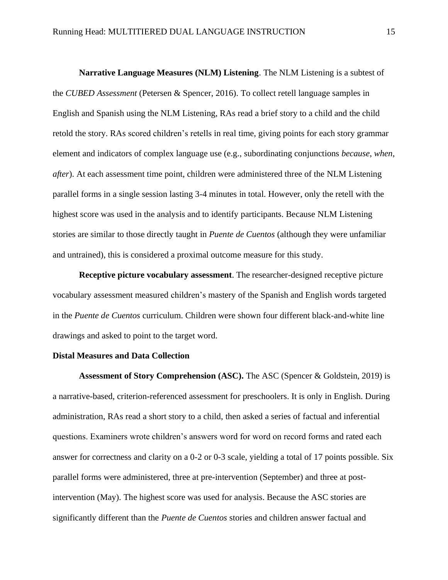**Narrative Language Measures (NLM) Listening**. The NLM Listening is a subtest of the *CUBED Assessment* (Petersen & Spencer, 2016). To collect retell language samples in English and Spanish using the NLM Listening, RAs read a brief story to a child and the child retold the story. RAs scored children's retells in real time, giving points for each story grammar element and indicators of complex language use (e.g., subordinating conjunctions *because*, *when*, *after*). At each assessment time point, children were administered three of the NLM Listening parallel forms in a single session lasting 3-4 minutes in total. However, only the retell with the highest score was used in the analysis and to identify participants. Because NLM Listening stories are similar to those directly taught in *Puente de Cuentos* (although they were unfamiliar and untrained), this is considered a proximal outcome measure for this study.

**Receptive picture vocabulary assessment**. The researcher-designed receptive picture vocabulary assessment measured children's mastery of the Spanish and English words targeted in the *Puente de Cuentos* curriculum. Children were shown four different black-and-white line drawings and asked to point to the target word.

### **Distal Measures and Data Collection**

**Assessment of Story Comprehension (ASC).** The ASC (Spencer & Goldstein, 2019) is a narrative-based, criterion-referenced assessment for preschoolers. It is only in English. During administration, RAs read a short story to a child, then asked a series of factual and inferential questions. Examiners wrote children's answers word for word on record forms and rated each answer for correctness and clarity on a 0-2 or 0-3 scale, yielding a total of 17 points possible. Six parallel forms were administered, three at pre-intervention (September) and three at postintervention (May). The highest score was used for analysis. Because the ASC stories are significantly different than the *Puente de Cuentos* stories and children answer factual and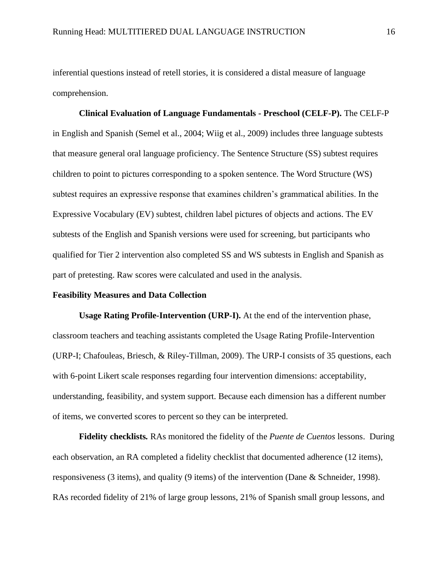inferential questions instead of retell stories, it is considered a distal measure of language comprehension.

**Clinical Evaluation of Language Fundamentals - Preschool (CELF-P).** The CELF-P in English and Spanish (Semel et al., 2004; Wiig et al., 2009) includes three language subtests that measure general oral language proficiency. The Sentence Structure (SS) subtest requires children to point to pictures corresponding to a spoken sentence. The Word Structure (WS) subtest requires an expressive response that examines children's grammatical abilities. In the Expressive Vocabulary (EV) subtest, children label pictures of objects and actions. The EV subtests of the English and Spanish versions were used for screening, but participants who qualified for Tier 2 intervention also completed SS and WS subtests in English and Spanish as part of pretesting. Raw scores were calculated and used in the analysis.

### **Feasibility Measures and Data Collection**

**Usage Rating Profile-Intervention (URP-I).** At the end of the intervention phase, classroom teachers and teaching assistants completed the Usage Rating Profile-Intervention (URP-I; Chafouleas, Briesch, & Riley-Tillman, 2009). The URP-I consists of 35 questions, each with 6-point Likert scale responses regarding four intervention dimensions: acceptability, understanding, feasibility, and system support. Because each dimension has a different number of items, we converted scores to percent so they can be interpreted.

**Fidelity checklists***.* RAs monitored the fidelity of the *Puente de Cuentos* lessons. During each observation, an RA completed a fidelity checklist that documented adherence (12 items), responsiveness (3 items), and quality (9 items) of the intervention (Dane & Schneider, 1998). RAs recorded fidelity of 21% of large group lessons, 21% of Spanish small group lessons, and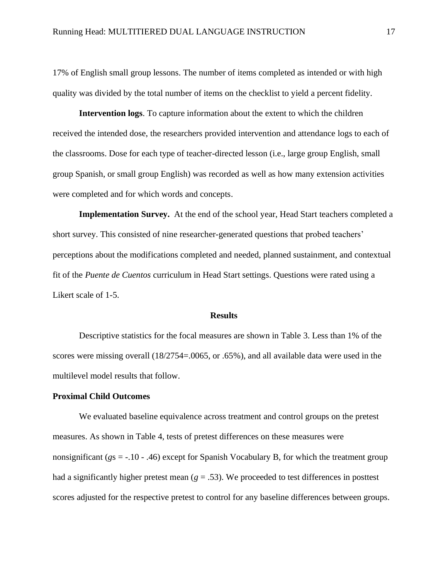17% of English small group lessons. The number of items completed as intended or with high quality was divided by the total number of items on the checklist to yield a percent fidelity.

**Intervention logs**. To capture information about the extent to which the children received the intended dose, the researchers provided intervention and attendance logs to each of the classrooms. Dose for each type of teacher-directed lesson (i.e., large group English, small group Spanish, or small group English) was recorded as well as how many extension activities were completed and for which words and concepts.

**Implementation Survey.** At the end of the school year, Head Start teachers completed a short survey. This consisted of nine researcher-generated questions that probed teachers' perceptions about the modifications completed and needed, planned sustainment, and contextual fit of the *Puente de Cuentos* curriculum in Head Start settings. Questions were rated using a Likert scale of 1-5.

# **Results**

Descriptive statistics for the focal measures are shown in Table 3. Less than 1% of the scores were missing overall (18/2754=.0065, or .65%), and all available data were used in the multilevel model results that follow.

### **Proximal Child Outcomes**

We evaluated baseline equivalence across treatment and control groups on the pretest measures. As shown in Table 4, tests of pretest differences on these measures were nonsignificant (*g*s = -.10 - .46) except for Spanish Vocabulary B, for which the treatment group had a significantly higher pretest mean  $(g = .53)$ . We proceeded to test differences in posttest scores adjusted for the respective pretest to control for any baseline differences between groups.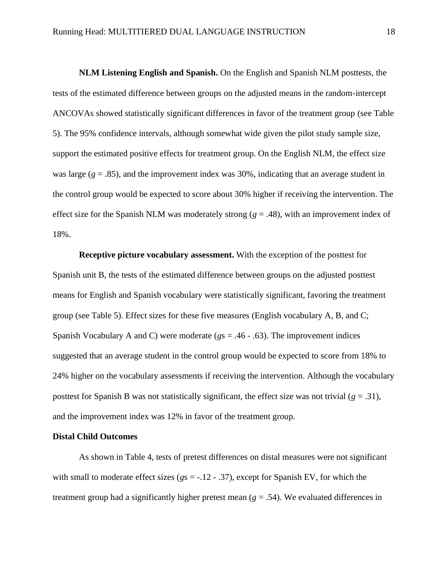**NLM Listening English and Spanish.** On the English and Spanish NLM posttests, the tests of the estimated difference between groups on the adjusted means in the random-intercept ANCOVAs showed statistically significant differences in favor of the treatment group (see Table 5). The 95% confidence intervals, although somewhat wide given the pilot study sample size, support the estimated positive effects for treatment group. On the English NLM, the effect size was large  $(g = .85)$ , and the improvement index was 30%, indicating that an average student in the control group would be expected to score about 30% higher if receiving the intervention. The effect size for the Spanish NLM was moderately strong ( $g = .48$ ), with an improvement index of 18%.

**Receptive picture vocabulary assessment.** With the exception of the posttest for Spanish unit B, the tests of the estimated difference between groups on the adjusted posttest means for English and Spanish vocabulary were statistically significant, favoring the treatment group (see Table 5). Effect sizes for these five measures (English vocabulary A, B, and C; Spanish Vocabulary A and C) were moderate (*g*s = .46 - .63). The improvement indices suggested that an average student in the control group would be expected to score from 18% to 24% higher on the vocabulary assessments if receiving the intervention. Although the vocabulary posttest for Spanish B was not statistically significant, the effect size was not trivial ( $g = .31$ ), and the improvement index was 12% in favor of the treatment group.

#### **Distal Child Outcomes**

As shown in Table 4, tests of pretest differences on distal measures were not significant with small to moderate effect sizes ( $g_s = -.12 - .37$ ), except for Spanish EV, for which the treatment group had a significantly higher pretest mean  $(g = .54)$ . We evaluated differences in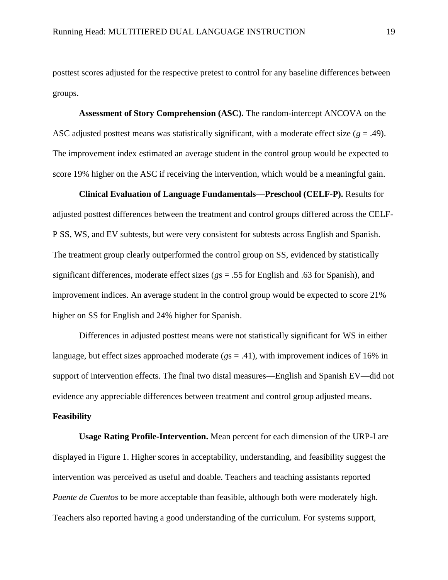posttest scores adjusted for the respective pretest to control for any baseline differences between groups.

**Assessment of Story Comprehension (ASC).** The random-intercept ANCOVA on the ASC adjusted posttest means was statistically significant, with a moderate effect size ( $g = .49$ ). The improvement index estimated an average student in the control group would be expected to score 19% higher on the ASC if receiving the intervention, which would be a meaningful gain.

**Clinical Evaluation of Language Fundamentals—Preschool (CELF-P).** Results for adjusted posttest differences between the treatment and control groups differed across the CELF-P SS, WS, and EV subtests, but were very consistent for subtests across English and Spanish. The treatment group clearly outperformed the control group on SS, evidenced by statistically significant differences, moderate effect sizes (*g*s = .55 for English and .63 for Spanish), and improvement indices. An average student in the control group would be expected to score 21% higher on SS for English and 24% higher for Spanish.

Differences in adjusted posttest means were not statistically significant for WS in either language, but effect sizes approached moderate (*g*s = .41), with improvement indices of 16% in support of intervention effects. The final two distal measures—English and Spanish EV—did not evidence any appreciable differences between treatment and control group adjusted means.

# **Feasibility**

**Usage Rating Profile-Intervention.** Mean percent for each dimension of the URP-I are displayed in Figure 1. Higher scores in acceptability, understanding, and feasibility suggest the intervention was perceived as useful and doable. Teachers and teaching assistants reported *Puente de Cuentos* to be more acceptable than feasible, although both were moderately high. Teachers also reported having a good understanding of the curriculum. For systems support,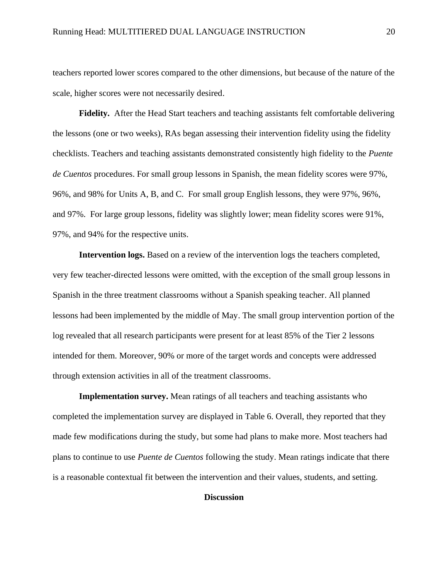teachers reported lower scores compared to the other dimensions, but because of the nature of the scale, higher scores were not necessarily desired.

**Fidelity.** After the Head Start teachers and teaching assistants felt comfortable delivering the lessons (one or two weeks), RAs began assessing their intervention fidelity using the fidelity checklists. Teachers and teaching assistants demonstrated consistently high fidelity to the *Puente de Cuentos* procedures. For small group lessons in Spanish, the mean fidelity scores were 97%, 96%, and 98% for Units A, B, and C. For small group English lessons, they were 97%, 96%, and 97%. For large group lessons, fidelity was slightly lower; mean fidelity scores were 91%, 97%, and 94% for the respective units.

**Intervention logs.** Based on a review of the intervention logs the teachers completed, very few teacher-directed lessons were omitted, with the exception of the small group lessons in Spanish in the three treatment classrooms without a Spanish speaking teacher. All planned lessons had been implemented by the middle of May. The small group intervention portion of the log revealed that all research participants were present for at least 85% of the Tier 2 lessons intended for them. Moreover, 90% or more of the target words and concepts were addressed through extension activities in all of the treatment classrooms.

**Implementation survey.** Mean ratings of all teachers and teaching assistants who completed the implementation survey are displayed in Table 6. Overall, they reported that they made few modifications during the study, but some had plans to make more. Most teachers had plans to continue to use *Puente de Cuentos* following the study. Mean ratings indicate that there is a reasonable contextual fit between the intervention and their values, students, and setting.

# **Discussion**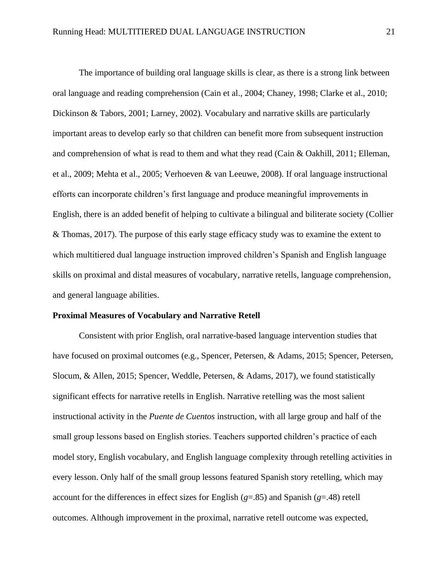The importance of building oral language skills is clear, as there is a strong link between oral language and reading comprehension (Cain et al., 2004; Chaney, 1998; Clarke et al., 2010; Dickinson & Tabors, 2001; Larney, 2002). Vocabulary and narrative skills are particularly important areas to develop early so that children can benefit more from subsequent instruction and comprehension of what is read to them and what they read (Cain & Oakhill, 2011; Elleman, et al., 2009; Mehta et al., 2005; Verhoeven & van Leeuwe, 2008). If oral language instructional efforts can incorporate children's first language and produce meaningful improvements in English, there is an added benefit of helping to cultivate a bilingual and biliterate society (Collier & Thomas, 2017). The purpose of this early stage efficacy study was to examine the extent to which multitiered dual language instruction improved children's Spanish and English language skills on proximal and distal measures of vocabulary, narrative retells, language comprehension, and general language abilities.

### **Proximal Measures of Vocabulary and Narrative Retell**

Consistent with prior English, oral narrative-based language intervention studies that have focused on proximal outcomes (e.g., Spencer, Petersen, & Adams, 2015; Spencer, Petersen, Slocum, & Allen, 2015; Spencer, Weddle, Petersen, & Adams, 2017), we found statistically significant effects for narrative retells in English. Narrative retelling was the most salient instructional activity in the *Puente de Cuentos* instruction, with all large group and half of the small group lessons based on English stories. Teachers supported children's practice of each model story, English vocabulary, and English language complexity through retelling activities in every lesson. Only half of the small group lessons featured Spanish story retelling, which may account for the differences in effect sizes for English (*g*=.85) and Spanish (*g*=.48) retell outcomes. Although improvement in the proximal, narrative retell outcome was expected,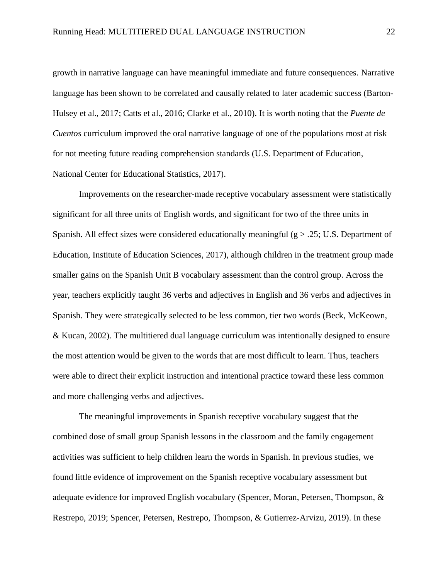growth in narrative language can have meaningful immediate and future consequences. Narrative language has been shown to be correlated and causally related to later academic success (Barton-Hulsey et al., 2017; Catts et al., 2016; Clarke et al., 2010). It is worth noting that the *Puente de Cuentos* curriculum improved the oral narrative language of one of the populations most at risk for not meeting future reading comprehension standards (U.S. Department of Education, National Center for Educational Statistics, 2017).

Improvements on the researcher-made receptive vocabulary assessment were statistically significant for all three units of English words, and significant for two of the three units in Spanish. All effect sizes were considered educationally meaningful  $(g > .25; U.S.$  Department of Education, Institute of Education Sciences, 2017), although children in the treatment group made smaller gains on the Spanish Unit B vocabulary assessment than the control group. Across the year, teachers explicitly taught 36 verbs and adjectives in English and 36 verbs and adjectives in Spanish. They were strategically selected to be less common, tier two words (Beck, McKeown, & Kucan, 2002). The multitiered dual language curriculum was intentionally designed to ensure the most attention would be given to the words that are most difficult to learn. Thus, teachers were able to direct their explicit instruction and intentional practice toward these less common and more challenging verbs and adjectives.

The meaningful improvements in Spanish receptive vocabulary suggest that the combined dose of small group Spanish lessons in the classroom and the family engagement activities was sufficient to help children learn the words in Spanish. In previous studies, we found little evidence of improvement on the Spanish receptive vocabulary assessment but adequate evidence for improved English vocabulary (Spencer, Moran, Petersen, Thompson, & Restrepo, 2019; Spencer, Petersen, Restrepo, Thompson, & Gutierrez-Arvizu, 2019). In these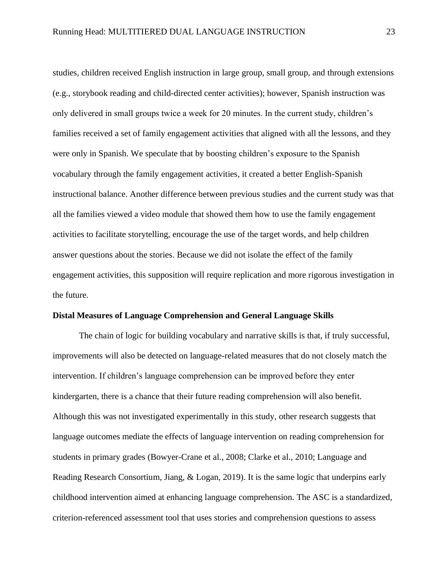studies, children received English instruction in large group, small group, and through extensions (e.g., storybook reading and child-directed center activities); however, Spanish instruction was only delivered in small groups twice a week for 20 minutes. In the current study, children's families received a set of family engagement activities that aligned with all the lessons, and they were only in Spanish. We speculate that by boosting children's exposure to the Spanish vocabulary through the family engagement activities, it created a better English-Spanish instructional balance. Another difference between previous studies and the current study was that all the families viewed a video module that showed them how to use the family engagement activities to facilitate storytelling, encourage the use of the target words, and help children answer questions about the stories. Because we did not isolate the effect of the family engagement activities, this supposition will require replication and more rigorous investigation in the future.

### **Distal Measures of Language Comprehension and General Language Skills**

The chain of logic for building vocabulary and narrative skills is that, if truly successful, improvements will also be detected on language-related measures that do not closely match the intervention. If children's language comprehension can be improved before they enter kindergarten, there is a chance that their future reading comprehension will also benefit. Although this was not investigated experimentally in this study, other research suggests that language outcomes mediate the effects of language intervention on reading comprehension for students in primary grades (Bowyer-Crane et al., 2008; Clarke et al., 2010; Language and Reading Research Consortium, Jiang, & Logan, 2019). It is the same logic that underpins early childhood intervention aimed at enhancing language comprehension. The ASC is a standardized, criterion-referenced assessment tool that uses stories and comprehension questions to assess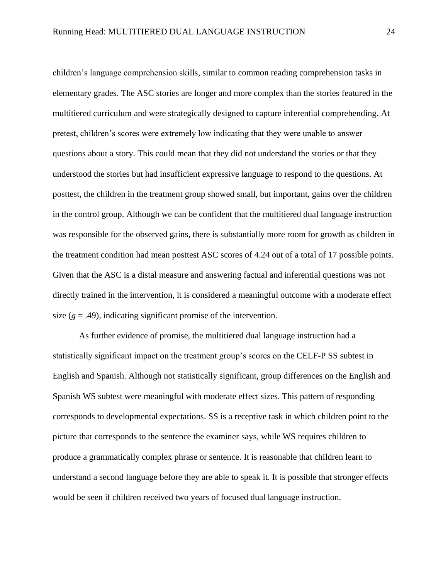children's language comprehension skills, similar to common reading comprehension tasks in elementary grades. The ASC stories are longer and more complex than the stories featured in the multitiered curriculum and were strategically designed to capture inferential comprehending. At pretest, children's scores were extremely low indicating that they were unable to answer questions about a story. This could mean that they did not understand the stories or that they understood the stories but had insufficient expressive language to respond to the questions. At posttest, the children in the treatment group showed small, but important, gains over the children in the control group. Although we can be confident that the multitiered dual language instruction was responsible for the observed gains, there is substantially more room for growth as children in the treatment condition had mean posttest ASC scores of 4.24 out of a total of 17 possible points. Given that the ASC is a distal measure and answering factual and inferential questions was not directly trained in the intervention, it is considered a meaningful outcome with a moderate effect size  $(g = .49)$ , indicating significant promise of the intervention.

As further evidence of promise, the multitiered dual language instruction had a statistically significant impact on the treatment group's scores on the CELF-P SS subtest in English and Spanish. Although not statistically significant, group differences on the English and Spanish WS subtest were meaningful with moderate effect sizes. This pattern of responding corresponds to developmental expectations. SS is a receptive task in which children point to the picture that corresponds to the sentence the examiner says, while WS requires children to produce a grammatically complex phrase or sentence. It is reasonable that children learn to understand a second language before they are able to speak it. It is possible that stronger effects would be seen if children received two years of focused dual language instruction.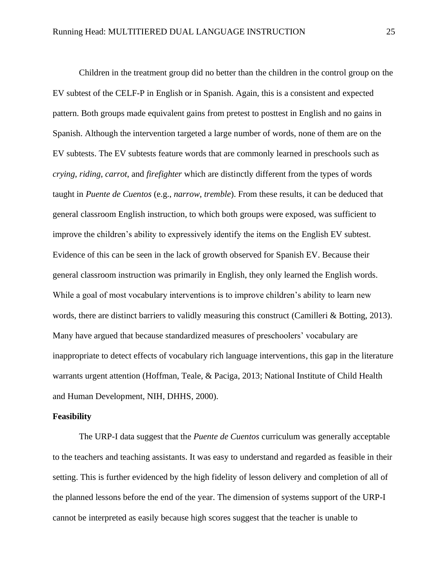Children in the treatment group did no better than the children in the control group on the EV subtest of the CELF-P in English or in Spanish. Again, this is a consistent and expected pattern. Both groups made equivalent gains from pretest to posttest in English and no gains in Spanish. Although the intervention targeted a large number of words, none of them are on the EV subtests. The EV subtests feature words that are commonly learned in preschools such as *crying*, *riding*, *carrot*, and *firefighter* which are distinctly different from the types of words taught in *Puente de Cuentos* (e.g., *narrow*, *tremble*). From these results, it can be deduced that general classroom English instruction, to which both groups were exposed, was sufficient to improve the children's ability to expressively identify the items on the English EV subtest. Evidence of this can be seen in the lack of growth observed for Spanish EV. Because their general classroom instruction was primarily in English, they only learned the English words. While a goal of most vocabulary interventions is to improve children's ability to learn new words, there are distinct barriers to validly measuring this construct (Camilleri & Botting, 2013). Many have argued that because standardized measures of preschoolers' vocabulary are inappropriate to detect effects of vocabulary rich language interventions, this gap in the literature warrants urgent attention (Hoffman, Teale, & Paciga, 2013; National Institute of Child Health and Human Development, NIH, DHHS, 2000).

### **Feasibility**

The URP-I data suggest that the *Puente de Cuentos* curriculum was generally acceptable to the teachers and teaching assistants. It was easy to understand and regarded as feasible in their setting. This is further evidenced by the high fidelity of lesson delivery and completion of all of the planned lessons before the end of the year. The dimension of systems support of the URP-I cannot be interpreted as easily because high scores suggest that the teacher is unable to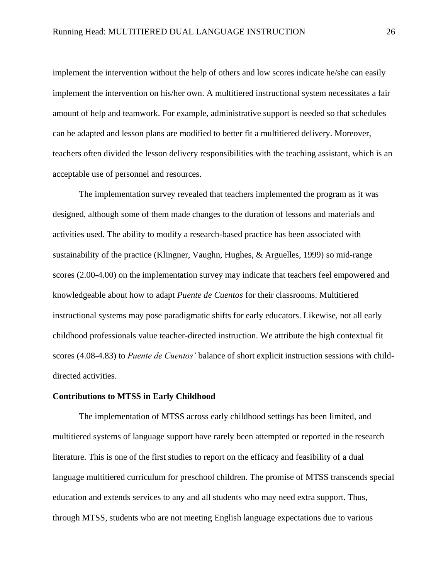implement the intervention without the help of others and low scores indicate he/she can easily implement the intervention on his/her own. A multitiered instructional system necessitates a fair amount of help and teamwork. For example, administrative support is needed so that schedules can be adapted and lesson plans are modified to better fit a multitiered delivery. Moreover, teachers often divided the lesson delivery responsibilities with the teaching assistant, which is an acceptable use of personnel and resources.

The implementation survey revealed that teachers implemented the program as it was designed, although some of them made changes to the duration of lessons and materials and activities used. The ability to modify a research-based practice has been associated with sustainability of the practice (Klingner, Vaughn, Hughes, & Arguelles, 1999) so mid-range scores (2.00-4.00) on the implementation survey may indicate that teachers feel empowered and knowledgeable about how to adapt *Puente de Cuentos* for their classrooms. Multitiered instructional systems may pose paradigmatic shifts for early educators. Likewise, not all early childhood professionals value teacher-directed instruction. We attribute the high contextual fit scores (4.08-4.83) to *Puente de Cuentos'* balance of short explicit instruction sessions with childdirected activities.

# **Contributions to MTSS in Early Childhood**

The implementation of MTSS across early childhood settings has been limited, and multitiered systems of language support have rarely been attempted or reported in the research literature. This is one of the first studies to report on the efficacy and feasibility of a dual language multitiered curriculum for preschool children. The promise of MTSS transcends special education and extends services to any and all students who may need extra support. Thus, through MTSS, students who are not meeting English language expectations due to various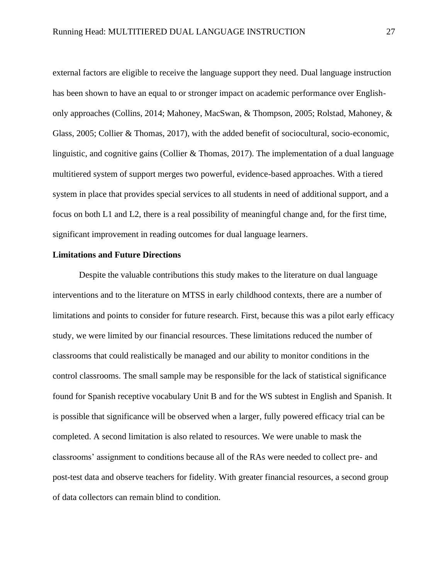external factors are eligible to receive the language support they need. Dual language instruction has been shown to have an equal to or stronger impact on academic performance over Englishonly approaches (Collins, 2014; Mahoney, MacSwan, & Thompson, 2005; Rolstad, Mahoney, & Glass, 2005; Collier & Thomas, 2017), with the added benefit of sociocultural, socio-economic, linguistic, and cognitive gains (Collier & Thomas, 2017). The implementation of a dual language multitiered system of support merges two powerful, evidence-based approaches. With a tiered system in place that provides special services to all students in need of additional support, and a focus on both L1 and L2, there is a real possibility of meaningful change and, for the first time, significant improvement in reading outcomes for dual language learners.

# **Limitations and Future Directions**

Despite the valuable contributions this study makes to the literature on dual language interventions and to the literature on MTSS in early childhood contexts, there are a number of limitations and points to consider for future research. First, because this was a pilot early efficacy study, we were limited by our financial resources. These limitations reduced the number of classrooms that could realistically be managed and our ability to monitor conditions in the control classrooms. The small sample may be responsible for the lack of statistical significance found for Spanish receptive vocabulary Unit B and for the WS subtest in English and Spanish. It is possible that significance will be observed when a larger, fully powered efficacy trial can be completed. A second limitation is also related to resources. We were unable to mask the classrooms' assignment to conditions because all of the RAs were needed to collect pre- and post-test data and observe teachers for fidelity. With greater financial resources, a second group of data collectors can remain blind to condition.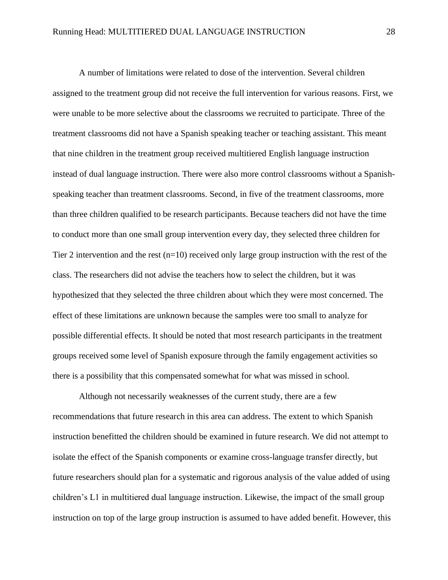A number of limitations were related to dose of the intervention. Several children assigned to the treatment group did not receive the full intervention for various reasons. First, we were unable to be more selective about the classrooms we recruited to participate. Three of the treatment classrooms did not have a Spanish speaking teacher or teaching assistant. This meant that nine children in the treatment group received multitiered English language instruction instead of dual language instruction. There were also more control classrooms without a Spanishspeaking teacher than treatment classrooms. Second, in five of the treatment classrooms, more than three children qualified to be research participants. Because teachers did not have the time to conduct more than one small group intervention every day, they selected three children for Tier 2 intervention and the rest  $(n=10)$  received only large group instruction with the rest of the class. The researchers did not advise the teachers how to select the children, but it was hypothesized that they selected the three children about which they were most concerned. The effect of these limitations are unknown because the samples were too small to analyze for possible differential effects. It should be noted that most research participants in the treatment groups received some level of Spanish exposure through the family engagement activities so there is a possibility that this compensated somewhat for what was missed in school.

Although not necessarily weaknesses of the current study, there are a few recommendations that future research in this area can address. The extent to which Spanish instruction benefitted the children should be examined in future research. We did not attempt to isolate the effect of the Spanish components or examine cross-language transfer directly, but future researchers should plan for a systematic and rigorous analysis of the value added of using children's L1 in multitiered dual language instruction. Likewise, the impact of the small group instruction on top of the large group instruction is assumed to have added benefit. However, this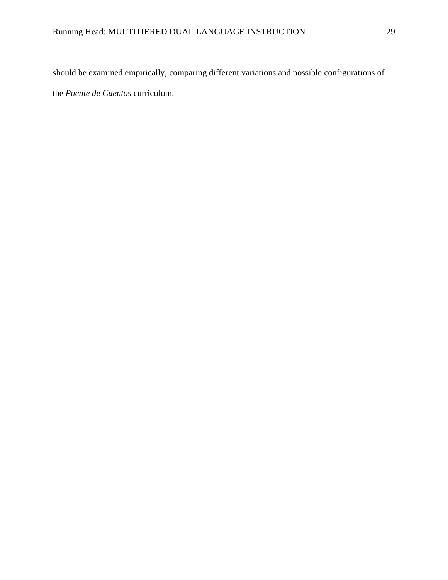should be examined empirically, comparing different variations and possible configurations of the *Puente de Cuentos* curriculum.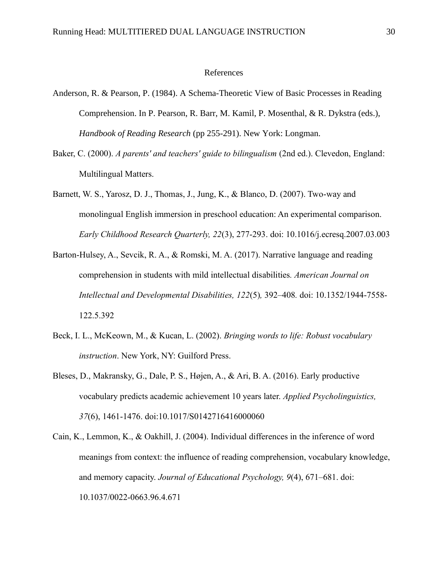#### References

- Anderson, R. & Pearson, P. (1984). A Schema-Theoretic View of Basic Processes in Reading Comprehension. In P. Pearson, R. Barr, M. Kamil, P. Mosenthal, & R. Dykstra (eds.), *Handbook of Reading Research* (pp 255-291). New York: Longman.
- Baker, C. (2000). *A parents' and teachers' guide to bilingualism* (2nd ed.). Clevedon, England: Multilingual Matters.
- Barnett, W. S., Yarosz, D. J., Thomas, J., Jung, K., & Blanco, D. (2007). Two-way and monolingual English immersion in preschool education: An experimental comparison. *Early Childhood Research Quarterly, 22*(3), 277-293. doi: 10.1016/j.ecresq.2007.03.003
- Barton-Hulsey, A., Sevcik, R. A., & Romski, M. A. (2017). Narrative language and reading comprehension in students with mild intellectual disabilities*. American Journal on Intellectual and Developmental Disabilities, 122*(5)*,* 392–408*.* doi: 10.1352/1944-7558- 122.5.392
- Beck, I. L., McKeown, M., & Kucan, L. (2002). *Bringing words to life: Robust vocabulary instruction*. New York, NY: Guilford Press.
- Bleses, D., Makransky, G., Dale, P. S., Højen, A., & Ari, B. A. (2016). Early productive vocabulary predicts academic achievement 10 years later. *Applied Psycholinguistics, 37*(6), 1461-1476. doi:10.1017/S0142716416000060
- Cain, K., Lemmon, K., & Oakhill, J. (2004). Individual differences in the inference of word meanings from context: the influence of reading comprehension, vocabulary knowledge, and memory capacity. *Journal of Educational Psychology, 9*(4), 671–681. doi: 10.1037/0022-0663.96.4.671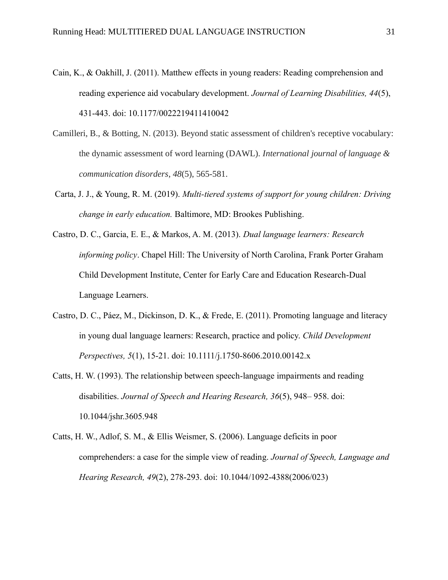- Cain, K., & Oakhill, J. (2011). Matthew effects in young readers: Reading comprehension and reading experience aid vocabulary development. *Journal of Learning Disabilities, 44*(5), 431-443. doi: 10.1177/0022219411410042
- Camilleri, B., & Botting, N. (2013). Beyond static assessment of children's receptive vocabulary: the dynamic assessment of word learning (DAWL). *International journal of language & communication disorders*, *48*(5), 565-581.
- Carta, J. J., & Young, R. M. (2019). *Multi-tiered systems of support for young children: Driving change in early education.* Baltimore, MD: Brookes Publishing.
- Castro, D. C., Garcia, E. E., & Markos, A. M. (2013). *Dual language learners: Research informing policy*. Chapel Hill: The University of North Carolina, Frank Porter Graham Child Development Institute, Center for Early Care and Education Research-Dual Language Learners.
- Castro, D. C., Páez, M., Dickinson, D. K., & Frede, E. (2011). Promoting language and literacy in young dual language learners: Research, practice and policy. *Child Development Perspectives, 5*(1), 15-21. doi: 10.1111/j.1750-8606.2010.00142.x
- Catts, H. W. (1993). The relationship between speech-language impairments and reading disabilities. *Journal of Speech and Hearing Research, 36*(5), 948– 958. doi: 10.1044/jshr.3605.948
- Catts, H. W., Adlof, S. M., & Ellis Weismer, S. (2006). Language deficits in poor comprehenders: a case for the simple view of reading. *Journal of Speech, Language and Hearing Research, 49*(2), 278-293. doi: 10.1044/1092-4388(2006/023)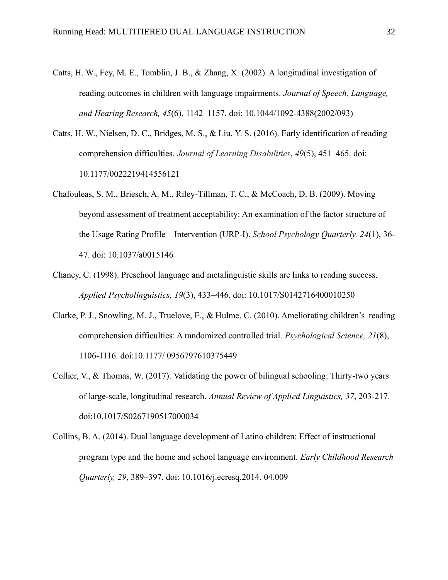- Catts, H. W., Fey, M. E., Tomblin, J. B., & Zhang, X. (2002). A longitudinal investigation of reading outcomes in children with language impairments. *Journal of Speech, Language, and Hearing Research, 45*(6), 1142–1157. doi: 10.1044/1092-4388(2002/093)
- Catts, H. W., Nielsen, D. C., Bridges, M. S., & Liu, Y. S. (2016). Early identification of reading comprehension difficulties. *Journal of Learning Disabilities*, *49*(5), 451–465. doi: 10.1177/0022219414556121
- Chafouleas, S. M., Briesch, A. M., Riley-Tillman, T. C., & McCoach, D. B. (2009). Moving beyond assessment of treatment acceptability: An examination of the factor structure of the Usage Rating Profile—Intervention (URP-I). *School Psychology Quarterly, 24*(1), 36- 47. doi: 10.1037/a0015146
- Chaney, C. (1998). Preschool language and metalinguistic skills are links to reading success. *Applied Psycholinguistics, 19*(3), 433–446. doi: 10.1017/S0142716400010250
- Clarke, P. J., Snowling, M. J., Truelove, E., & Hulme, C. (2010). Ameliorating children's reading comprehension difficulties: A randomized controlled trial. *Psychological Science, 21*(8), 1106-1116. doi:10.1177/ 0956797610375449
- Collier, V., & Thomas, W. (2017). Validating the power of bilingual schooling: Thirty-two years of large-scale, longitudinal research. *Annual Review of Applied Linguistics, 37*, 203-217. doi:10.1017/S0267190517000034
- Collins, B. A. (2014). Dual language development of Latino children: Effect of instructional program type and the home and school language environment. *Early Childhood Research Quarterly, 29*, 389–397. doi: 10.1016/j.ecresq.2014. 04.009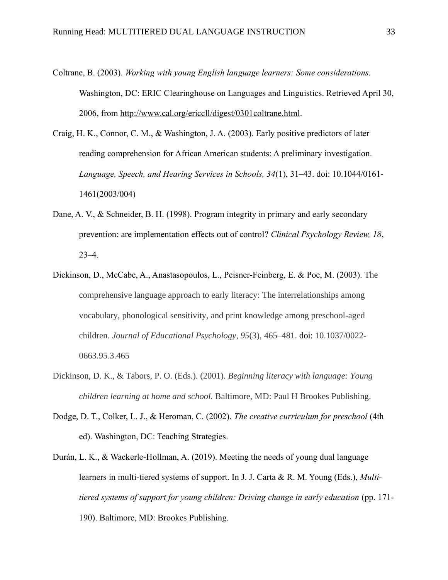- Coltrane, B. (2003). *Working with young English language learners: Some considerations.* Washington, DC: ERIC Clearinghouse on Languages and Linguistics. Retrieved April 30, 2006, from [http://www.cal.org/ericcll/digest/0301coltrane.html.](http://www.cal.org/ericcll/digest/0301coltrane.html)
- Craig, H. K., Connor, C. M., & Washington, J. A. (2003). Early positive predictors of later reading comprehension for African American students: A preliminary investigation. *Language, Speech, and Hearing Services in Schools, 34*(1), 31–43. doi: 10.1044/0161- 1461(2003/004)
- Dane, A. V., & Schneider, B. H. (1998). Program integrity in primary and early secondary prevention: are implementation effects out of control? *Clinical Psychology Review, 18*, 23–4.
- Dickinson, D., McCabe, A., Anastasopoulos, L., Peisner-Feinberg, E. & Poe, M. (2003). The comprehensive language approach to early literacy: The interrelationships among vocabulary, phonological sensitivity, and print knowledge among preschool-aged children. *Journal of Educational Psychology*, *95*(3), 465–481. [doi:](https://doi/) 10.1037/0022- 0663.95.3.465
- Dickinson, D. K., & Tabors, P. O. (Eds.). (2001). *Beginning literacy with language: Young children learning at home and school.* Baltimore, MD: Paul H Brookes Publishing.
- Dodge, D. T., Colker, L. J., & Heroman, C. (2002). *The creative curriculum for preschool* (4th ed). Washington, DC: Teaching Strategies.
- Durán, L. K., & Wackerle-Hollman, A. (2019). Meeting the needs of young dual language learners in multi-tiered systems of support. In J. J. Carta & R. M. Young (Eds.), *Multitiered systems of support for young children: Driving change in early education (pp. 171-*190). Baltimore, MD: Brookes Publishing.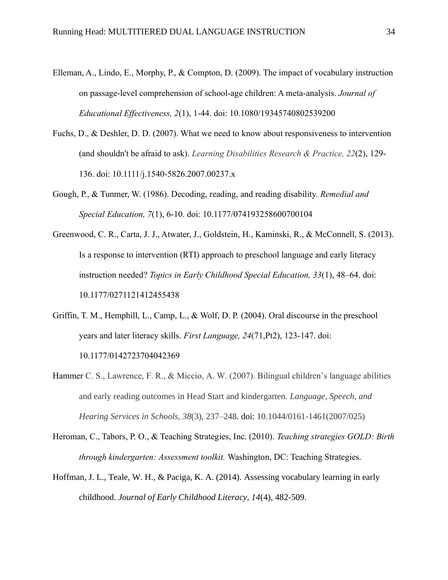- Elleman, A., Lindo, E., Morphy, P., & Compton, D. (2009). The impact of vocabulary instruction on passage-level comprehension of school-age children: A meta-analysis. *Journal of Educational Effectiveness, 2*(1), 1-44. doi: 10.1080/19345740802539200
- Fuchs, D., & Deshler, D. D. (2007). What we need to know about responsiveness to intervention (and shouldn't be afraid to ask). *Learning Disabilities Research & Practice, 22*(2), 129- 136. doi: 10.1111/j.1540-5826.2007.00237.x
- Gough, P., & Tunmer, W. (1986). Decoding, reading, and reading disability. *Remedial and Special Education, 7*(1), 6-10. doi: 10.1177/074193258600700104
- Greenwood, C. R., Carta, J. J., Atwater, J., Goldstein, H., Kaminski, R., & McConnell, S. (2013). Is a response to intervention (RTI) approach to preschool language and early literacy instruction needed? *Topics in Early Childhood Special Education, 33*(1), 48–64. [doi:](https://doi.org/doi) 10.1177/0271121412455438
- Griffin, T. M., Hemphill, L., Camp, L., & Wolf, D. P. (2004). Oral discourse in the preschool years and later literacy skills. *First Language, 24*(71,Pt2), 123-147. doi: 10.1177/0142723704042369
- Hammer C. S., Lawrence, F. R., & Miccio, A. W. (2007). Bilingual children's language abilities and early reading outcomes in Head Start and kindergarten. *Language, Speech, and Hearing Services in Schools*, *38*(3), 237–248. [doi:](https://doi/) 10.1044/0161-1461(2007/025)
- Heroman, C., Tabors, P. O., & Teaching Strategies, Inc. (2010). *Teaching strategies GOLD: Birth through kindergarten: Assessment toolkit.* Washington, DC: Teaching Strategies.
- Hoffman, J. L., Teale, W. H., & Paciga, K. A. (2014). Assessing vocabulary learning in early childhood. *Journal of Early Childhood Literacy, 14*(4), 482-509.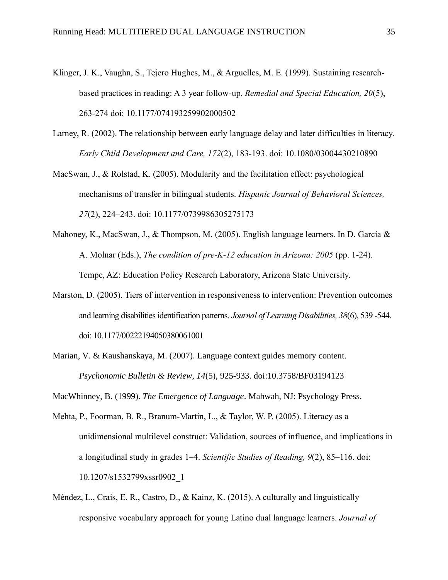- Klinger, J. K., Vaughn, S., Tejero Hughes, M., & Arguelles, M. E. (1999). Sustaining researchbased practices in reading: A 3 year follow-up. *Remedial and Special Education, 20*(5), 263-274 doi: 10.1177/074193259902000502
- Larney, R. (2002). The relationship between early language delay and later difficulties in literacy. *Early Child Development and Care, 172*(2), 183-193. doi: 10.1080/03004430210890
- MacSwan, J., & Rolstad, K. (2005). Modularity and the facilitation effect: psychological mechanisms of transfer in bilingual students. *Hispanic Journal of Behavioral Sciences, 27*(2), 224–243. doi: 10.1177/0739986305275173
- Mahoney, K., MacSwan, J., & Thompson, M. (2005). English language learners. In D. García & A. Molnar (Eds.), *The condition of pre-K-12 education in Arizona: 2005* (pp. 1-24). Tempe, AZ: Education Policy Research Laboratory, Arizona State University.
- Marston, D. (2005). Tiers of intervention in responsiveness to intervention: Prevention outcomes and learning disabilities identification patterns. *Journal of Learning Disabilities, 38*(6), 539 -544. doi: 10.1177/00222194050380061001
- Marian, V. & Kaushanskaya, M. (2007). Language context guides memory content. *Psychonomic Bulletin & Review, 14*(5), 925-933. doi:10.3758/BF03194123

MacWhinney, B. (1999). *The Emergence of Language*. Mahwah, NJ: Psychology Press.

- Mehta, P., Foorman, B. R., Branum-Martin, L., & Taylor, W. P. (2005). Literacy as a unidimensional multilevel construct: Validation, sources of influence, and implications in a longitudinal study in grades 1–4. *Scientific Studies of Reading, 9*(2), 85–116. doi: 10.1207/s1532799xssr0902\_1
- Méndez, L., Crais, E. R., Castro, D., & Kainz, K. (2015). A culturally and linguistically responsive vocabulary approach for young Latino dual language learners. *Journal of*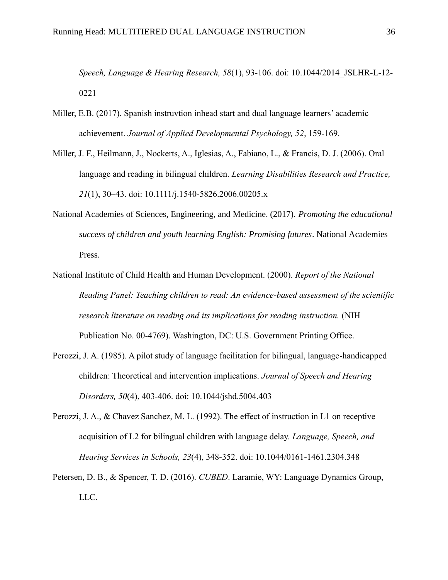*Speech, Language & Hearing Research, 58*(1), 93-106. doi: 10.1044/2014\_JSLHR-L-12- 0221

- Miller, E.B. (2017). Spanish instruvtion inhead start and dual language learners' academic achievement. *Journal of Applied Developmental Psychology, 52*, 159-169.
- Miller, J. F., Heilmann, J., Nockerts, A., Iglesias, A., Fabiano, L., & Francis, D. J. (2006). Oral language and reading in bilingual children. *Learning Disabilities Research and Practice, 21*(1), 30–43. doi: 10.1111/j.1540-5826.2006.00205.x
- National Academies of Sciences, Engineering, and Medicine. (2017). *Promoting the educational success of children and youth learning English: Promising futures*. National Academies Press.
- National Institute of Child Health and Human Development. (2000). *Report of the National Reading Panel: Teaching children to read: An evidence-based assessment of the scientific research literature on reading and its implications for reading instruction.* (NIH Publication No. 00-4769). Washington, DC: U.S. Government Printing Office.
- Perozzi, J. A. (1985). A pilot study of language facilitation for bilingual, language-handicapped children: Theoretical and intervention implications. *Journal of Speech and Hearing Disorders, 50*(4), 403-406. doi: 10.1044/jshd.5004.403
- Perozzi, J. A., & Chavez Sanchez, M. L. (1992). The effect of instruction in L1 on receptive acquisition of L2 for bilingual children with language delay. *Language, Speech, and Hearing Services in Schools, 23*(4), 348-352. doi: 10.1044/0161-1461.2304.348
- Petersen, D. B., & Spencer, T. D. (2016). *CUBED*. Laramie, WY: Language Dynamics Group, LLC.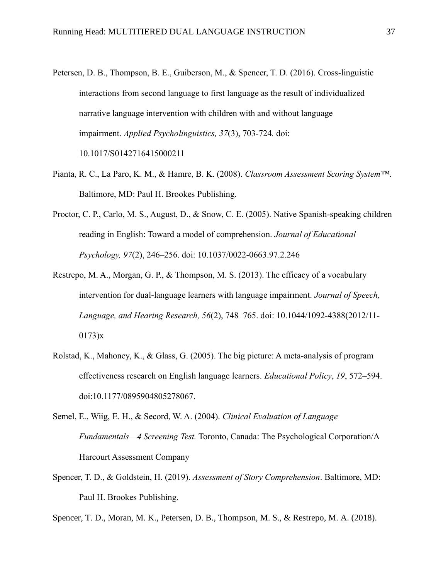- Petersen, D. B., Thompson, B. E., Guiberson, M., & Spencer, T. D. (2016). Cross-linguistic interactions from second language to first language as the result of individualized narrative language intervention with children with and without language impairment. *Applied Psycholinguistics, 37*(3), 703-724*.* doi: 10.1017/S0142716415000211
- Pianta, R. C., La Paro, K. M., & Hamre, B. K. (2008). *Classroom Assessment Scoring System™*. Baltimore, MD: Paul H. Brookes Publishing.
- Proctor, C. P., Carlo, M. S., August, D., & Snow, C. E. (2005). Native Spanish-speaking children reading in English: Toward a model of comprehension. *Journal of Educational Psychology, 97*(2), 246–256. doi: 10.1037/0022-0663.97.2.246
- Restrepo, M. A., Morgan, G. P., & Thompson, M. S. (2013). The efficacy of a vocabulary intervention for dual-language learners with language impairment. *Journal of Speech, Language, and Hearing Research, 56*(2), 748–765. doi: 10.1044/1092-4388(2012/11- 0173)x
- Rolstad, K., Mahoney, K., & Glass, G. (2005). The big picture: A meta-analysis of program effectiveness research on English language learners. *Educational Policy*, *19*, 572–594. doi:10.1177/0895904805278067.
- Semel, E., Wiig, E. H., & Secord, W. A. (2004). *Clinical Evaluation of Language Fundamentals—4 Screening Test.* Toronto, Canada: The Psychological Corporation/A Harcourt Assessment Company
- Spencer, T. D., & Goldstein, H. (2019). *Assessment of Story Comprehension*. Baltimore, MD: Paul H. Brookes Publishing.

Spencer, T. D., Moran, M. K., Petersen, D. B., Thompson, M. S., & Restrepo, M. A. (2018).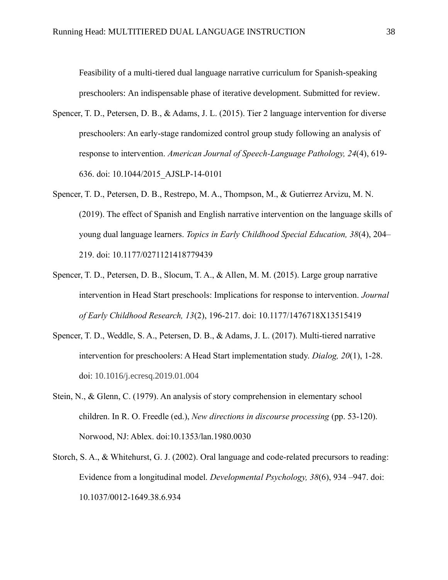Feasibility of a multi-tiered dual language narrative curriculum for Spanish-speaking preschoolers: An indispensable phase of iterative development. Submitted for review.

- Spencer, T. D., Petersen, D. B., & Adams, J. L. (2015). Tier 2 language intervention for diverse preschoolers: An early-stage randomized control group study following an analysis of response to intervention. *American Journal of Speech-Language Pathology, 24*(4), 619- 636. doi: 10.1044/2015\_AJSLP-14-0101
- Spencer, T. D., Petersen, D. B., Restrepo, M. A., Thompson, M., & Gutierrez Arvizu, M. N. (2019). The effect of Spanish and English narrative intervention on the language skills of young dual language learners. *Topics in Early Childhood Special Education, 38*(4), 204– 219. [doi: 10.1177/0271121418779439](https://doi.org/10.1177/0271121418779439)
- Spencer, T. D., Petersen, D. B., Slocum, T. A., & Allen, M. M. (2015). Large group narrative intervention in Head Start preschools: Implications for response to intervention. *Journal of Early Childhood Research, 13*(2), 196-217. doi: 10.1177/1476718X13515419
- Spencer, T. D., Weddle, S. A., Petersen, D. B., & Adams, J. L. (2017). Multi-tiered narrative intervention for preschoolers: A Head Start implementation study. *Dialog, 20*(1), 1-28. doi: 10.1016/j.ecresq.2019.01.004
- Stein, N., & Glenn, C. (1979). An analysis of story comprehension in elementary school children. In R. O. Freedle (ed.), *New directions in discourse processing* (pp. 53-120). Norwood, NJ: Ablex. doi:10.1353/lan.1980.0030
- Storch, S. A., & Whitehurst, G. J. (2002). Oral language and code-related precursors to reading: Evidence from a longitudinal model. *Developmental Psychology, 38*(6), 934 –947. doi: 10.1037/0012-1649.38.6.934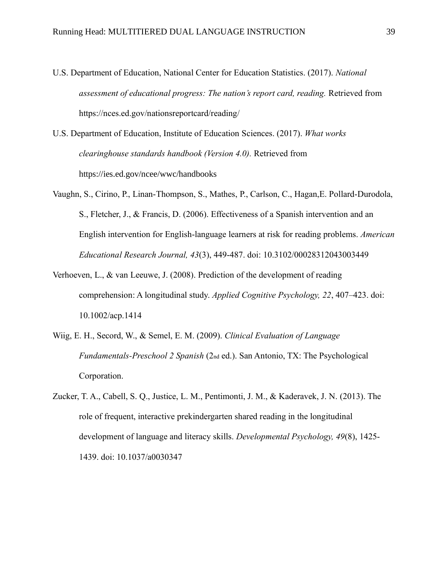- U.S. Department of Education, National Center for Education Statistics. (2017). *National assessment of educational progress: The nation's report card, reading.* Retrieved from <https://nces.ed.gov/nationsreportcard/reading/>
- U.S. Department of Education, Institute of Education Sciences. (2017). *What works clearinghouse standards handbook (Version 4.0).* Retrieved from <https://ies.ed.gov/ncee/wwc/handbooks>
- Vaughn, S., Cirino, P., Linan-Thompson, S., Mathes, P., Carlson, C., Hagan,E. Pollard-Durodola, S., Fletcher, J., & Francis, D. (2006). Effectiveness of a Spanish intervention and an English intervention for English-language learners at risk for reading problems. *American Educational Research Journal, 43*(3), 449-487. doi: 10.3102/00028312043003449
- Verhoeven, L., & van Leeuwe, J. (2008). Prediction of the development of reading comprehension: A longitudinal study. *Applied Cognitive Psychology, 22*, 407–423. doi: 10.1002/acp.1414
- Wiig, E. H., Secord, W., & Semel, E. M. (2009). *Clinical Evaluation of Language Fundamentals-Preschool 2 Spanish* (2nd ed.). San Antonio, TX: The Psychological Corporation.
- Zucker, T. A., Cabell, S. Q., Justice, L. M., Pentimonti, J. M., & Kaderavek, J. N. (2013). The role of frequent, interactive prekindergarten shared reading in the longitudinal development of language and literacy skills. *Developmental Psychology, 49*(8), 1425- 1439. doi: 10.1037/a0030347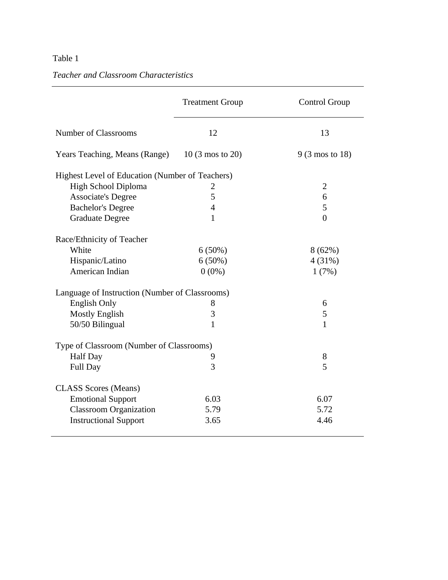# *Teacher and Classroom Characteristics*

|                                                 | <b>Treatment Group</b>                   | Control Group             |  |  |  |  |  |
|-------------------------------------------------|------------------------------------------|---------------------------|--|--|--|--|--|
| <b>Number of Classrooms</b>                     | 12                                       | 13                        |  |  |  |  |  |
| Years Teaching, Means (Range) 10 (3 mos to 20)  |                                          | $9(3 \text{ mos to } 18)$ |  |  |  |  |  |
| Highest Level of Education (Number of Teachers) |                                          |                           |  |  |  |  |  |
| High School Diploma                             | $\overline{2}$                           | $\overline{2}$            |  |  |  |  |  |
| <b>Associate's Degree</b>                       | 5                                        | 6                         |  |  |  |  |  |
| <b>Bachelor's Degree</b>                        | $\overline{4}$                           | 5                         |  |  |  |  |  |
| <b>Graduate Degree</b>                          | 1                                        | $\theta$                  |  |  |  |  |  |
| Race/Ethnicity of Teacher                       |                                          |                           |  |  |  |  |  |
| White                                           | $6(50\%)$                                | 8(62%)                    |  |  |  |  |  |
| Hispanic/Latino                                 | $6(50\%)$                                | 4(31%)                    |  |  |  |  |  |
| American Indian                                 | $0(0\%)$                                 | 1(7%)                     |  |  |  |  |  |
| Language of Instruction (Number of Classrooms)  |                                          |                           |  |  |  |  |  |
| <b>English Only</b>                             | 8                                        | 6                         |  |  |  |  |  |
| <b>Mostly English</b>                           | 3                                        | 5                         |  |  |  |  |  |
| 50/50 Bilingual                                 | 1                                        | $\mathbf{1}$              |  |  |  |  |  |
|                                                 | Type of Classroom (Number of Classrooms) |                           |  |  |  |  |  |
| <b>Half Day</b>                                 | 9                                        | 8                         |  |  |  |  |  |
| <b>Full Day</b>                                 | 3                                        | 5                         |  |  |  |  |  |
| <b>CLASS</b> Scores (Means)                     |                                          |                           |  |  |  |  |  |
| <b>Emotional Support</b>                        | 6.03                                     | 6.07                      |  |  |  |  |  |
| <b>Classroom Organization</b>                   | 5.79                                     | 5.72                      |  |  |  |  |  |
| <b>Instructional Support</b>                    | 3.65                                     | 4.46                      |  |  |  |  |  |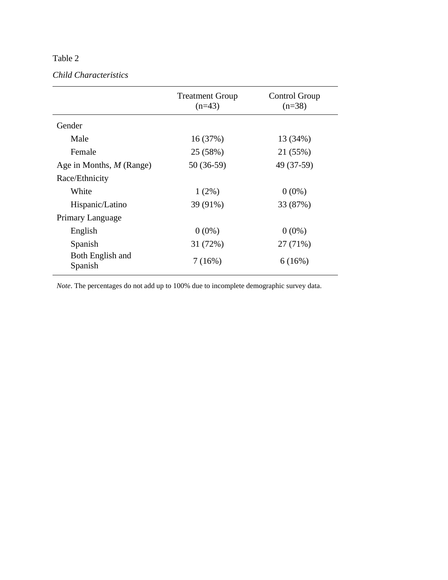# *Child Characteristics*

|                             | <b>Treatment Group</b><br>$(n=43)$ | Control Group<br>$(n=38)$ |
|-----------------------------|------------------------------------|---------------------------|
| Gender                      |                                    |                           |
| Male                        | 16(37%)                            | 13 (34%)                  |
| Female                      | 25 (58%)                           | 21 (55%)                  |
| Age in Months, M (Range)    | 50 (36-59)                         | 49 (37-59)                |
| Race/Ethnicity              |                                    |                           |
| White                       | $1(2\%)$                           | $0(0\%)$                  |
| Hispanic/Latino             | 39 (91%)                           | 33 (87%)                  |
| Primary Language            |                                    |                           |
| English                     | $0(0\%)$                           | $0(0\%)$                  |
| Spanish                     | 31 (72%)                           | 27 (71%)                  |
| Both English and<br>Spanish | 7(16%)                             | 6(16%)                    |

*Note*. The percentages do not add up to 100% due to incomplete demographic survey data.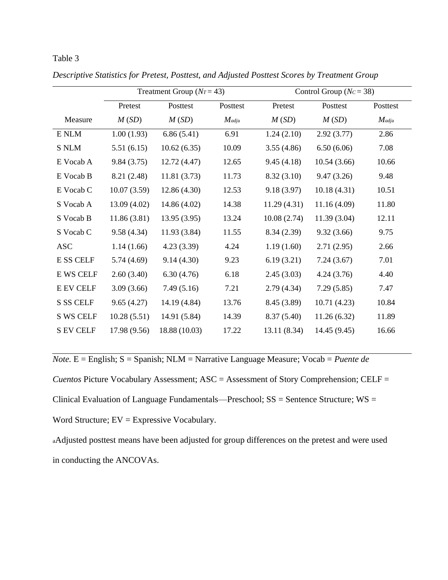|                  | Treatment Group $(Nr = 43)$ |               |          | Control Group ( $Nc = 38$ ) |              |          |
|------------------|-----------------------------|---------------|----------|-----------------------------|--------------|----------|
|                  | Pretest                     | Posttest      | Posttest | Pretest                     | Posttest     | Posttest |
| Measure          | M(SD)                       | M(SD)         | $M$ adja | M(SD)                       | M(SD)        | $M$ adja |
| E NLM            | 1.00(1.93)                  | 6.86(5.41)    | 6.91     | 1.24(2.10)                  | 2.92(3.77)   | 2.86     |
| <b>S NLM</b>     | 5.51(6.15)                  | 10.62(6.35)   | 10.09    | 3.55(4.86)                  | 6.50(6.06)   | 7.08     |
| E Vocab A        | 9.84(3.75)                  | 12.72(4.47)   | 12.65    | 9.45(4.18)                  | 10.54(3.66)  | 10.66    |
| E Vocab B        | 8.21 (2.48)                 | 11.81(3.73)   | 11.73    | 8.32(3.10)                  | 9.47(3.26)   | 9.48     |
| E Vocab C        | 10.07(3.59)                 | 12.86(4.30)   | 12.53    | 9.18(3.97)                  | 10.18(4.31)  | 10.51    |
| S Vocab A        | 13.09(4.02)                 | 14.86 (4.02)  | 14.38    | 11.29(4.31)                 | 11.16(4.09)  | 11.80    |
| S Vocab B        | 11.86(3.81)                 | 13.95(3.95)   | 13.24    | 10.08(2.74)                 | 11.39(3.04)  | 12.11    |
| S Vocab C        | 9.58(4.34)                  | 11.93(3.84)   | 11.55    | 8.34(2.39)                  | 9.32(3.66)   | 9.75     |
| <b>ASC</b>       | 1.14(1.66)                  | 4.23(3.39)    | 4.24     | 1.19(1.60)                  | 2.71(2.95)   | 2.66     |
| <b>E SS CELF</b> | 5.74 (4.69)                 | 9.14(4.30)    | 9.23     | 6.19(3.21)                  | 7.24(3.67)   | 7.01     |
| <b>E WS CELF</b> | 2.60(3.40)                  | 6.30(4.76)    | 6.18     | 2.45(3.03)                  | 4.24(3.76)   | 4.40     |
| <b>E EV CELF</b> | 3.09(3.66)                  | 7.49(5.16)    | 7.21     | 2.79(4.34)                  | 7.29(5.85)   | 7.47     |
| S SS CELF        | 9.65(4.27)                  | 14.19 (4.84)  | 13.76    | 8.45 (3.89)                 | 10.71(4.23)  | 10.84    |
| <b>S WS CELF</b> | 10.28(5.51)                 | 14.91 (5.84)  | 14.39    | 8.37(5.40)                  | 11.26(6.32)  | 11.89    |
| <b>S EV CELF</b> | 17.98 (9.56)                | 18.88 (10.03) | 17.22    | 13.11(8.34)                 | 14.45 (9.45) | 16.66    |

*Descriptive Statistics for Pretest, Posttest, and Adjusted Posttest Scores by Treatment Group*

*Note.* E = English; S = Spanish; NLM = Narrative Language Measure; Vocab = *Puente de* 

*Cuentos* Picture Vocabulary Assessment; ASC = Assessment of Story Comprehension; CELF = Clinical Evaluation of Language Fundamentals—Preschool;  $SS =$  Sentence Structure;  $WS =$ Word Structure; EV = Expressive Vocabulary.

<sup>a</sup>Adjusted posttest means have been adjusted for group differences on the pretest and were used in conducting the ANCOVAs.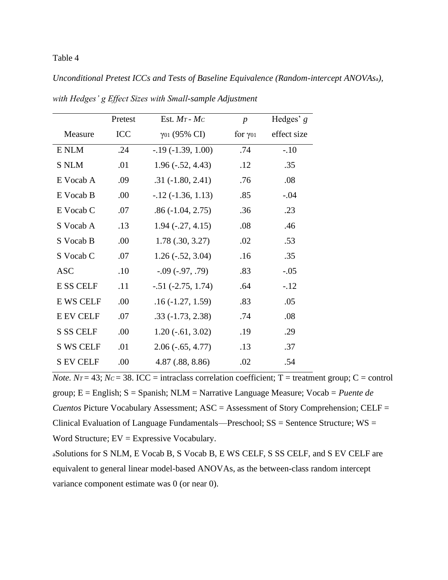*Unconditional Pretest ICCs and Tests of Baseline Equivalence (Random-intercept ANOVAs*a*),* 

|                  | Pretest    | Est. $Mr$ - $Mc$            | $\boldsymbol{p}$           | Hedges' $g$ |
|------------------|------------|-----------------------------|----------------------------|-------------|
| Measure          | <b>ICC</b> | $γ$ <sup>01</sup> (95% CI)  | for $\gamma$ <sup>01</sup> | effect size |
| E NLM            | .24        | $-0.19(-1.39, 1.00)$        | .74                        | $-.10$      |
| <b>S NLM</b>     | .01        | $1.96(-.52, 4.43)$          | .12                        | .35         |
| E Vocab A        | .09        | $.31(-1.80, 2.41)$          | .76                        | .08         |
| E Vocab B        | .00        | $-12$ $(-1.36, 1.13)$       | .85                        | $-.04$      |
| E Vocab C        | .07        | $.86(-1.04, 2.75)$          | .36                        | .23         |
| S Vocab A        | .13        | $1.94(-.27, 4.15)$          | .08                        | .46         |
| S Vocab B        | .00        | 1.78(.30, 3.27)             | .02                        | .53         |
| S Vocab C        | .07        | $1.26(-.52, 3.04)$          | .16                        | .35         |
| <b>ASC</b>       | .10        | $-0.09(-0.97, 0.79)$        | .83                        | $-.05$      |
| <b>E SS CELF</b> | .11        | $-.51 (-2.75, 1.74)$        | .64                        | $-.12$      |
| <b>E WS CELF</b> | .00        | $.16(-1.27, 1.59)$          | .83                        | .05         |
| <b>E EV CELF</b> | .07        | $.33(-1.73, 2.38)$          | .74                        | .08         |
| <b>S SS CELF</b> | .00        | $1.20$ ( $-0.61$ , $3.02$ ) | .19                        | .29         |
| <b>S WS CELF</b> | .01        | $2.06(-0.65, 4.77)$         | .13                        | .37         |
| <b>S EV CELF</b> | .00        | 4.87(.88, 8.86)             | .02                        | .54         |

*with Hedges' g Effect Sizes with Small-sample Adjustment*

*Note.*  $N_T = 43$ ;  $N_C = 38$ . ICC = intraclass correlation coefficient; T = treatment group; C = control group; E = English; S = Spanish; NLM = Narrative Language Measure; Vocab = *Puente de Cuentos* Picture Vocabulary Assessment; ASC = Assessment of Story Comprehension; CELF = Clinical Evaluation of Language Fundamentals—Preschool;  $SS =$  Sentence Structure;  $WS =$ Word Structure; EV = Expressive Vocabulary.

<sup>a</sup>Solutions for S NLM, E Vocab B, S Vocab B, E WS CELF, S SS CELF, and S EV CELF are equivalent to general linear model-based ANOVAs, as the between-class random intercept variance component estimate was 0 (or near 0).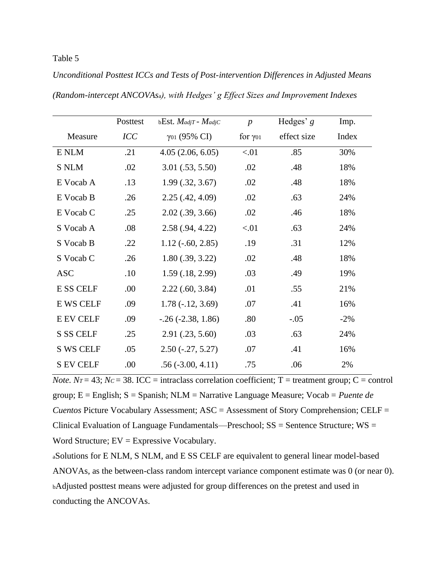|                  | Posttest   | $bEst.$ <i>MadjT</i> - <i>MadjC</i> | $\boldsymbol{p}$  | Hedges' $g$ | Imp.   |
|------------------|------------|-------------------------------------|-------------------|-------------|--------|
| Measure          | <b>ICC</b> | $\gamma_{01}$ (95% CI)              | for $\gamma_{01}$ | effect size | Index  |
| E NLM            | .21        | 4.05(2.06, 6.05)                    | < 01              | .85         | 30%    |
| <b>S NLM</b>     | .02        | $3.01$ $(.53, 5.50)$                | .02               | .48         | 18%    |
| E Vocab A        | .13        | $1.99$ $(.32, 3.67)$                | .02               | .48         | 18%    |
| E Vocab B        | .26        | 2.25(.42, 4.09)                     | .02               | .63         | 24%    |
| E Vocab C        | .25        | $2.02$ $(.39, 3.66)$                | .02               | .46         | 18%    |
| S Vocab A        | .08        | 2.58(.94, 4.22)                     | < 01              | .63         | 24%    |
| S Vocab B        | .22        | $1.12$ ( $-60, 2.85$ )              | .19               | .31         | 12%    |
| S Vocab C        | .26        | $1.80$ $(.39, 3.22)$                | .02               | .48         | 18%    |
| <b>ASC</b>       | .10        | 1.59(.18, 2.99)                     | .03               | .49         | 19%    |
| <b>ESS CELF</b>  | .00        | $2.22$ (.60, 3.84)                  | .01               | .55         | 21%    |
| <b>E WS CELF</b> | .09        | $1.78(-.12, 3.69)$                  | .07               | .41         | 16%    |
| <b>E EV CELF</b> | .09        | $-0.26$ $(-2.38, 1.86)$             | .80               | $-.05$      | $-2\%$ |
| <b>S SS CELF</b> | .25        | 2.91(.23, 5.60)                     | .03               | .63         | 24%    |
| <b>S WS CELF</b> | .05        | $2.50(-.27, 5.27)$                  | .07               | .41         | 16%    |
| <b>S EV CELF</b> | .00        | $.56(-3.00, 4.11)$                  | .75               | .06         | 2%     |

*Unconditional Posttest ICCs and Tests of Post-intervention Differences in Adjusted Means (Random-intercept ANCOVAs*a*), with Hedges' g Effect Sizes and Improvement Indexes*

*Note.*  $N_T = 43$ ;  $N_C = 38$ . ICC = intraclass correlation coefficient; T = treatment group; C = control group; E = English; S = Spanish; NLM = Narrative Language Measure; Vocab = *Puente de Cuentos* Picture Vocabulary Assessment; ASC = Assessment of Story Comprehension; CELF = Clinical Evaluation of Language Fundamentals—Preschool;  $SS =$  Sentence Structure;  $WS =$ Word Structure; EV = Expressive Vocabulary.

<sup>a</sup>Solutions for E NLM, S NLM, and E SS CELF are equivalent to general linear model-based ANOVAs, as the between-class random intercept variance component estimate was 0 (or near 0). <sup>b</sup>Adjusted posttest means were adjusted for group differences on the pretest and used in conducting the ANCOVAs.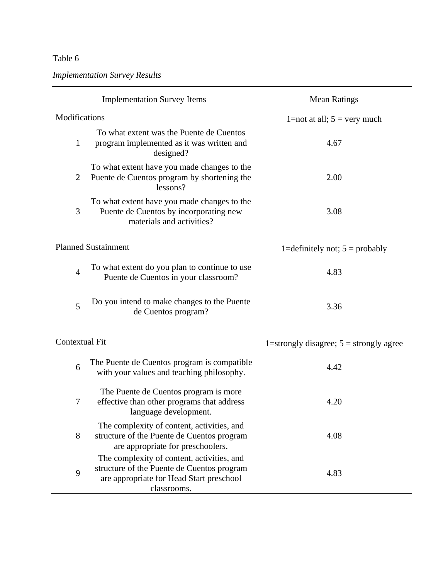*Implementation Survey Results*

|                | <b>Implementation Survey Items</b>                                                                                                                  | <b>Mean Ratings</b>                       |  |  |
|----------------|-----------------------------------------------------------------------------------------------------------------------------------------------------|-------------------------------------------|--|--|
| Modifications  |                                                                                                                                                     | 1=not at all; $5 = \text{very much}$      |  |  |
| $\mathbf{1}$   | To what extent was the Puente de Cuentos<br>program implemented as it was written and<br>designed?                                                  | 4.67                                      |  |  |
| $\overline{2}$ | To what extent have you made changes to the<br>Puente de Cuentos program by shortening the<br>lessons?                                              | 2.00                                      |  |  |
| 3              | To what extent have you made changes to the<br>Puente de Cuentos by incorporating new<br>materials and activities?                                  | 3.08                                      |  |  |
|                | <b>Planned Sustainment</b>                                                                                                                          | 1=definitely not; $5 =$ probably          |  |  |
| $\overline{4}$ | To what extent do you plan to continue to use<br>Puente de Cuentos in your classroom?                                                               | 4.83                                      |  |  |
| 5              | Do you intend to make changes to the Puente<br>de Cuentos program?                                                                                  | 3.36                                      |  |  |
| Contextual Fit |                                                                                                                                                     | 1=strongly disagree; $5 =$ strongly agree |  |  |
| 6              | The Puente de Cuentos program is compatible<br>with your values and teaching philosophy.                                                            | 4.42                                      |  |  |
| 7              | The Puente de Cuentos program is more<br>effective than other programs that address<br>language development.                                        | 4.20                                      |  |  |
| 8              | The complexity of content, activities, and<br>structure of the Puente de Cuentos program<br>are appropriate for preschoolers.                       | 4.08                                      |  |  |
| 9              | The complexity of content, activities, and<br>structure of the Puente de Cuentos program<br>are appropriate for Head Start preschool<br>classrooms. | 4.83                                      |  |  |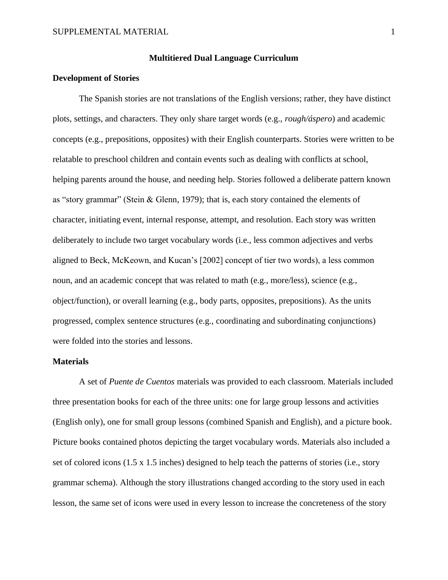### **Multitiered Dual Language Curriculum**

### **Development of Stories**

The Spanish stories are not translations of the English versions; rather, they have distinct plots, settings, and characters. They only share target words (e.g., *rough/áspero*) and academic concepts (e.g., prepositions, opposites) with their English counterparts. Stories were written to be relatable to preschool children and contain events such as dealing with conflicts at school, helping parents around the house, and needing help. Stories followed a deliberate pattern known as "story grammar" (Stein & Glenn, 1979); that is, each story contained the elements of character, initiating event, internal response, attempt, and resolution. Each story was written deliberately to include two target vocabulary words (i.e., less common adjectives and verbs aligned to Beck, McKeown, and Kucan's [2002] concept of tier two words), a less common noun, and an academic concept that was related to math (e.g., more/less), science (e.g., object/function), or overall learning (e.g., body parts, opposites, prepositions). As the units progressed, complex sentence structures (e.g., coordinating and subordinating conjunctions) were folded into the stories and lessons.

### **Materials**

A set of *Puente de Cuentos* materials was provided to each classroom. Materials included three presentation books for each of the three units: one for large group lessons and activities (English only), one for small group lessons (combined Spanish and English), and a picture book. Picture books contained photos depicting the target vocabulary words. Materials also included a set of colored icons (1.5 x 1.5 inches) designed to help teach the patterns of stories (i.e., story grammar schema). Although the story illustrations changed according to the story used in each lesson, the same set of icons were used in every lesson to increase the concreteness of the story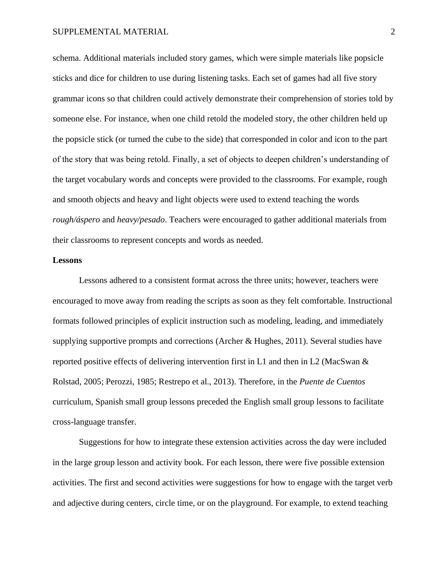schema. Additional materials included story games, which were simple materials like popsicle sticks and dice for children to use during listening tasks. Each set of games had all five story grammar icons so that children could actively demonstrate their comprehension of stories told by someone else. For instance, when one child retold the modeled story, the other children held up the popsicle stick (or turned the cube to the side) that corresponded in color and icon to the part of the story that was being retold. Finally, a set of objects to deepen children's understanding of the target vocabulary words and concepts were provided to the classrooms. For example, rough and smooth objects and heavy and light objects were used to extend teaching the words *rough/áspero* and *heavy/pesado*. Teachers were encouraged to gather additional materials from their classrooms to represent concepts and words as needed.

### **Lessons**

Lessons adhered to a consistent format across the three units; however, teachers were encouraged to move away from reading the scripts as soon as they felt comfortable. Instructional formats followed principles of explicit instruction such as modeling, leading, and immediately supplying supportive prompts and corrections (Archer & Hughes, 2011). Several studies have reported positive effects of delivering intervention first in L1 and then in L2 (MacSwan & Rolstad, 2005; Perozzi, 1985; Restrepo et al., 2013). Therefore, in the *Puente de Cuentos* curriculum, Spanish small group lessons preceded the English small group lessons to facilitate cross-language transfer.

Suggestions for how to integrate these extension activities across the day were included in the large group lesson and activity book. For each lesson, there were five possible extension activities. The first and second activities were suggestions for how to engage with the target verb and adjective during centers, circle time, or on the playground. For example, to extend teaching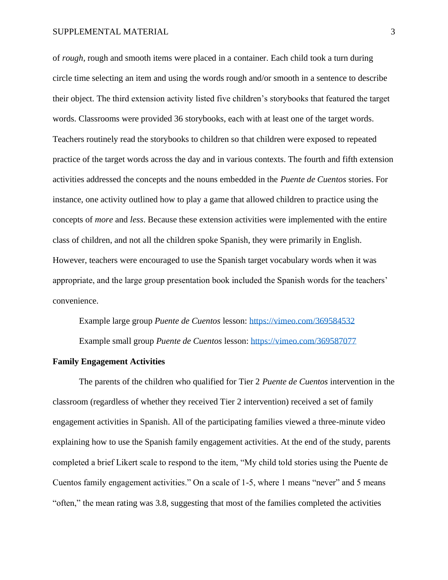of *rough*, rough and smooth items were placed in a container. Each child took a turn during circle time selecting an item and using the words rough and/or smooth in a sentence to describe their object. The third extension activity listed five children's storybooks that featured the target words. Classrooms were provided 36 storybooks, each with at least one of the target words. Teachers routinely read the storybooks to children so that children were exposed to repeated practice of the target words across the day and in various contexts. The fourth and fifth extension activities addressed the concepts and the nouns embedded in the *Puente de Cuentos* stories. For instance, one activity outlined how to play a game that allowed children to practice using the concepts of *more* and *less*. Because these extension activities were implemented with the entire class of children, and not all the children spoke Spanish, they were primarily in English. However, teachers were encouraged to use the Spanish target vocabulary words when it was appropriate, and the large group presentation book included the Spanish words for the teachers' convenience.

Example large group *Puente de Cuentos* lesson:<https://vimeo.com/369584532> Example small group *Puente de Cuentos* lesson:<https://vimeo.com/369587077>

### **Family Engagement Activities**

The parents of the children who qualified for Tier 2 *Puente de Cuentos* intervention in the classroom (regardless of whether they received Tier 2 intervention) received a set of family engagement activities in Spanish. All of the participating families viewed a three-minute video explaining how to use the Spanish family engagement activities. At the end of the study, parents completed a brief Likert scale to respond to the item, "My child told stories using the Puente de Cuentos family engagement activities." On a scale of 1-5, where 1 means "never" and 5 means "often," the mean rating was 3.8, suggesting that most of the families completed the activities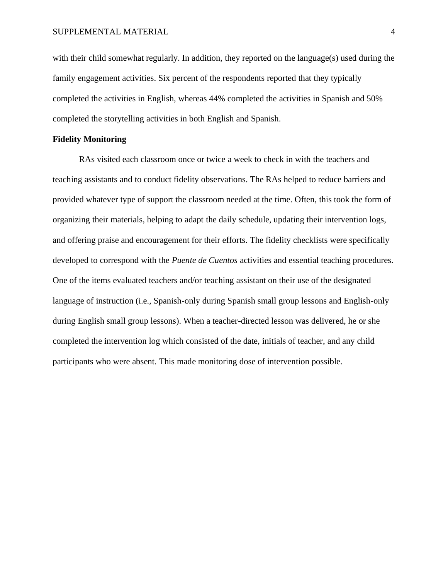with their child somewhat regularly. In addition, they reported on the language(s) used during the family engagement activities. Six percent of the respondents reported that they typically completed the activities in English, whereas 44% completed the activities in Spanish and 50% completed the storytelling activities in both English and Spanish.

### **Fidelity Monitoring**

RAs visited each classroom once or twice a week to check in with the teachers and teaching assistants and to conduct fidelity observations. The RAs helped to reduce barriers and provided whatever type of support the classroom needed at the time. Often, this took the form of organizing their materials, helping to adapt the daily schedule, updating their intervention logs, and offering praise and encouragement for their efforts. The fidelity checklists were specifically developed to correspond with the *Puente de Cuentos* activities and essential teaching procedures. One of the items evaluated teachers and/or teaching assistant on their use of the designated language of instruction (i.e., Spanish-only during Spanish small group lessons and English-only during English small group lessons). When a teacher-directed lesson was delivered, he or she completed the intervention log which consisted of the date, initials of teacher, and any child participants who were absent. This made monitoring dose of intervention possible.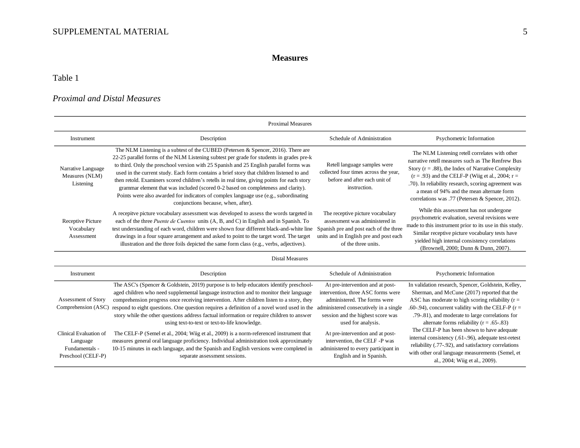# **Measures**

# Table 1

# *Proximal and Distal Measures*

| <b>Proximal Measures</b>                                                   |                                                                                                                                                                                                                                                                                                                                                                                                                                                                                                                                                                                                                                                                                         |                                                                                                                                                                                                             |                                                                                                                                                                                                                                                                                                                                                                              |  |  |
|----------------------------------------------------------------------------|-----------------------------------------------------------------------------------------------------------------------------------------------------------------------------------------------------------------------------------------------------------------------------------------------------------------------------------------------------------------------------------------------------------------------------------------------------------------------------------------------------------------------------------------------------------------------------------------------------------------------------------------------------------------------------------------|-------------------------------------------------------------------------------------------------------------------------------------------------------------------------------------------------------------|------------------------------------------------------------------------------------------------------------------------------------------------------------------------------------------------------------------------------------------------------------------------------------------------------------------------------------------------------------------------------|--|--|
| Instrument                                                                 | Description                                                                                                                                                                                                                                                                                                                                                                                                                                                                                                                                                                                                                                                                             | Schedule of Administration                                                                                                                                                                                  | Psychometric Information                                                                                                                                                                                                                                                                                                                                                     |  |  |
| Narrative Language<br>Measures (NLM)<br>Listening                          | The NLM Listening is a subtest of the CUBED (Petersen & Spencer, 2016). There are<br>22-25 parallel forms of the NLM Listening subtest per grade for students in grades pre-k<br>to third. Only the preschool version with 25 Spanish and 25 English parallel forms was<br>used in the current study. Each form contains a brief story that children listened to and<br>then retold. Examiners scored children's retells in real time, giving points for each story<br>grammar element that was included (scored 0-2 based on completeness and clarity).<br>Points were also awarded for indicators of complex language use (e.g., subordinating<br>conjunctions because, when, after). | Retell language samples were<br>collected four times across the year,<br>before and after each unit of<br>instruction.                                                                                      | The NLM Listening retell correlates with other<br>narrative retell measures such as The Renfrew Bus<br>Story ( $r = .88$ ), the Index of Narrative Complexity<br>$(r = .93)$ and the CELF-P (Wiig et al., 2004; r =<br>.70). In reliability research, scoring agreement was<br>a mean of 94% and the mean alternate form<br>correlations was .77 (Petersen & Spencer, 2012). |  |  |
| <b>Receptive Picture</b><br>Vocabulary<br>Assessment                       | A recepitve picture vocabulary assessment was developed to assess the words targeted in<br>each of the three <i>Puente de Cuentos</i> units (A, B, and C) in English and in Spanish. To<br>test understanding of each word, children were shown four different black-and-white line<br>drawings in a four square arrangement and asked to point to the target word. The target<br>illustration and the three foils depicted the same form class (e.g., verbs, adjectives).                                                                                                                                                                                                              | The receptive picture vocabulary<br>assessment was administered in<br>Spanish pre and post each of the three<br>units and in English pre and post each<br>of the three units.                               | While this assessment has not undergone<br>psychometric evaluation, several revisions were<br>made to this instrument prior to its use in this study.<br>Similar receptive picture vocabulary tests have<br>yielded high internal consistency correlations<br>(Brownell, 2000; Dunn & Dunn, 2007)                                                                            |  |  |
|                                                                            | <b>Distal Measures</b>                                                                                                                                                                                                                                                                                                                                                                                                                                                                                                                                                                                                                                                                  |                                                                                                                                                                                                             |                                                                                                                                                                                                                                                                                                                                                                              |  |  |
| Instrument                                                                 | Description                                                                                                                                                                                                                                                                                                                                                                                                                                                                                                                                                                                                                                                                             | Schedule of Administration                                                                                                                                                                                  | Psychometric Information                                                                                                                                                                                                                                                                                                                                                     |  |  |
| Assessment of Story<br>Comprehension (ASC)                                 | The ASC's (Spencer & Goldstein, 2019) purpose is to help educators identify preschool-<br>aged children who need supplemental language instruction and to monitor their language<br>comprehension progress once receiving intervention. After children listen to a story, they<br>respond to eight questions. One question requires a definition of a novel word used in the<br>story while the other questions address factual information or require children to answer<br>using text-to-text or text-to-life knowledge.                                                                                                                                                              | At pre-intervention and at post-<br>intervention, three ASC forms were<br>administered. The forms were<br>administered consecutively in a single<br>session and the highest score was<br>used for analysis. | In validation research, Spencer, Goldstein, Kelley,<br>Sherman, and McCune (2017) reported that the<br>ASC has moderate to high scoring reliability ( $r =$<br>.60-.94), concurrent validity with the CELF-P ( $r =$<br>.79-.81), and moderate to large correlations for<br>alternate forms reliability ( $r = .65-.83$ )                                                    |  |  |
| Clinical Evaluation of<br>Language<br>Fundamentals -<br>Preschool (CELF-P) | The CELF-P (Semel et al., 2004; Wiig et al., 2009) is a norm-referenced instrument that<br>measures general oral language proficiency. Individual administration took approximately<br>10-15 minutes in each language, and the Spanish and English versions were completed in<br>separate assessment sessions.                                                                                                                                                                                                                                                                                                                                                                          | At pre-intervention and at post-<br>intervention, the CELF -P was<br>administered to every participant in<br>English and in Spanish.                                                                        | The CELF-P has been shown to have adequate<br>internal consistency (.61-.96), adequate test-retest<br>reliability (.77-.92), and satisfactory correlations<br>with other oral language measurements (Semel, et<br>al., 2004; Wiig et al., 2009).                                                                                                                             |  |  |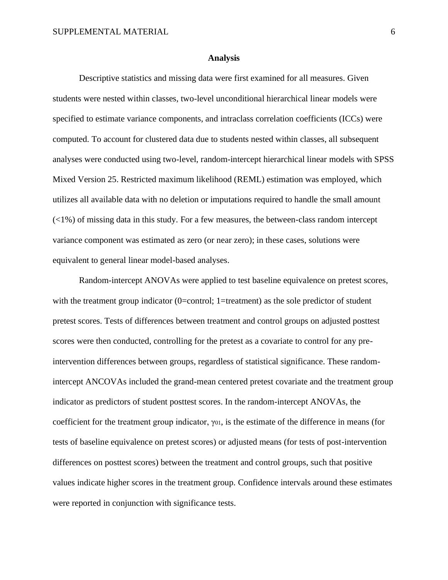#### **Analysis**

Descriptive statistics and missing data were first examined for all measures. Given students were nested within classes, two-level unconditional hierarchical linear models were specified to estimate variance components, and intraclass correlation coefficients (ICCs) were computed. To account for clustered data due to students nested within classes, all subsequent analyses were conducted using two-level, random-intercept hierarchical linear models with SPSS Mixed Version 25. Restricted maximum likelihood (REML) estimation was employed, which utilizes all available data with no deletion or imputations required to handle the small amount  $(\langle 1\% \rangle)$  of missing data in this study. For a few measures, the between-class random intercept variance component was estimated as zero (or near zero); in these cases, solutions were equivalent to general linear model-based analyses.

Random-intercept ANOVAs were applied to test baseline equivalence on pretest scores, with the treatment group indicator (0=control; 1=treatment) as the sole predictor of student pretest scores. Tests of differences between treatment and control groups on adjusted posttest scores were then conducted, controlling for the pretest as a covariate to control for any preintervention differences between groups, regardless of statistical significance. These randomintercept ANCOVAs included the grand-mean centered pretest covariate and the treatment group indicator as predictors of student posttest scores. In the random-intercept ANOVAs, the coefficient for the treatment group indicator,  $\gamma_{01}$ , is the estimate of the difference in means (for tests of baseline equivalence on pretest scores) or adjusted means (for tests of post-intervention differences on posttest scores) between the treatment and control groups, such that positive values indicate higher scores in the treatment group. Confidence intervals around these estimates were reported in conjunction with significance tests.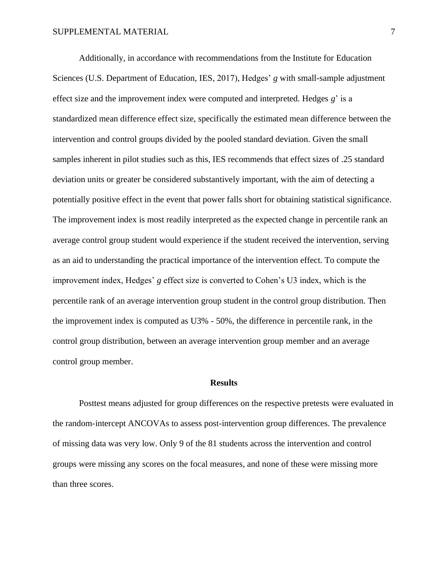Additionally, in accordance with recommendations from the Institute for Education Sciences (U.S. Department of Education, IES, 2017), Hedges' *g* with small-sample adjustment effect size and the improvement index were computed and interpreted. Hedges *g*' is a standardized mean difference effect size, specifically the estimated mean difference between the intervention and control groups divided by the pooled standard deviation. Given the small samples inherent in pilot studies such as this, IES recommends that effect sizes of .25 standard deviation units or greater be considered substantively important, with the aim of detecting a potentially positive effect in the event that power falls short for obtaining statistical significance. The improvement index is most readily interpreted as the expected change in percentile rank an average control group student would experience if the student received the intervention, serving as an aid to understanding the practical importance of the intervention effect. To compute the improvement index, Hedges' *g* effect size is converted to Cohen's U3 index, which is the percentile rank of an average intervention group student in the control group distribution. Then the improvement index is computed as U3% - 50%, the difference in percentile rank, in the control group distribution, between an average intervention group member and an average control group member.

### **Results**

Posttest means adjusted for group differences on the respective pretests were evaluated in the random-intercept ANCOVAs to assess post-intervention group differences. The prevalence of missing data was very low. Only 9 of the 81 students across the intervention and control groups were missing any scores on the focal measures, and none of these were missing more than three scores.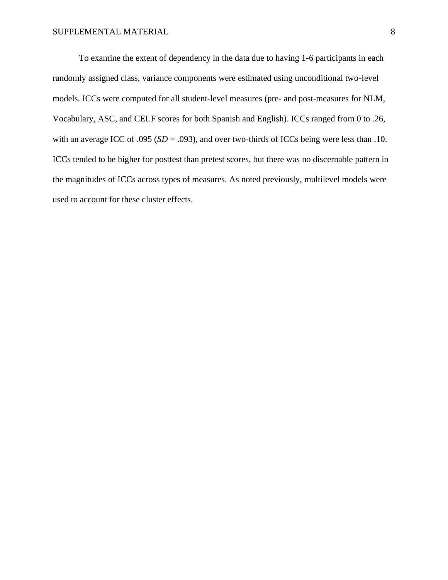To examine the extent of dependency in the data due to having 1-6 participants in each randomly assigned class, variance components were estimated using unconditional two-level models. ICCs were computed for all student-level measures (pre- and post-measures for NLM, Vocabulary, ASC, and CELF scores for both Spanish and English). ICCs ranged from 0 to .26, with an average ICC of .095 ( $SD = .093$ ), and over two-thirds of ICCs being were less than .10. ICCs tended to be higher for posttest than pretest scores, but there was no discernable pattern in the magnitudes of ICCs across types of measures. As noted previously, multilevel models were used to account for these cluster effects.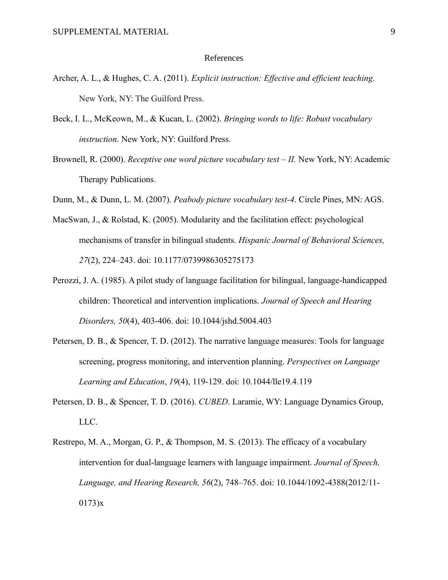### References

- Archer, A. L., & Hughes, C. A. (2011). *Explicit instruction: Effective and efficient teaching.* New York, NY: The Guilford Press.
- Beck, I. L., McKeown, M., & Kucan, L. (2002). *Bringing words to life: Robust vocabulary instruction*. New York, NY: Guilford Press.
- Brownell, R. (2000). *Receptive one word picture vocabulary test – II.* New York, NY: Academic Therapy Publications.
- Dunn, M., & Dunn, L. M. (2007). *Peabody picture vocabulary test-4*. Circle Pines, MN: AGS.
- MacSwan, J., & Rolstad, K. (2005). Modularity and the facilitation effect: psychological mechanisms of transfer in bilingual students. *Hispanic Journal of Behavioral Sciences, 27*(2), 224–243. doi: 10.1177/0739986305275173
- Perozzi, J. A. (1985). A pilot study of language facilitation for bilingual, language-handicapped children: Theoretical and intervention implications. *Journal of Speech and Hearing Disorders, 50*(4), 403-406. doi: 10.1044/jshd.5004.403
- Petersen, D. B., & Spencer, T. D. (2012). The narrative language measures: Tools for language screening, progress monitoring, and intervention planning. *Perspectives on Language Learning and Education*, *19*(4), 119-129. doi: 10.1044/lle19.4.119
- Petersen, D. B., & Spencer, T. D. (2016). *CUBED*. Laramie, WY: Language Dynamics Group, LLC.
- Restrepo, M. A., Morgan, G. P., & Thompson, M. S. (2013). The efficacy of a vocabulary intervention for dual-language learners with language impairment. *Journal of Speech, Language, and Hearing Research, 56*(2), 748–765. doi: 10.1044/1092-4388(2012/11- 0173)x